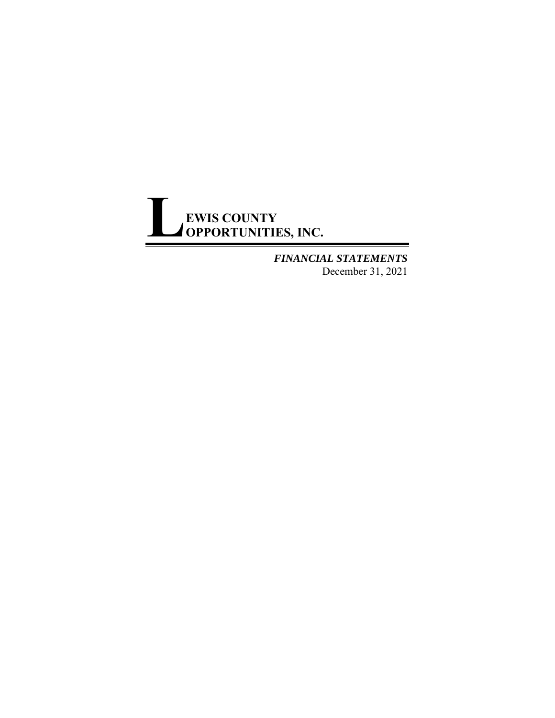# **EWIS COUNTY OPPORTUNITIES, INC. L**

*FINANCIAL STATEMENTS*  December 31, 2021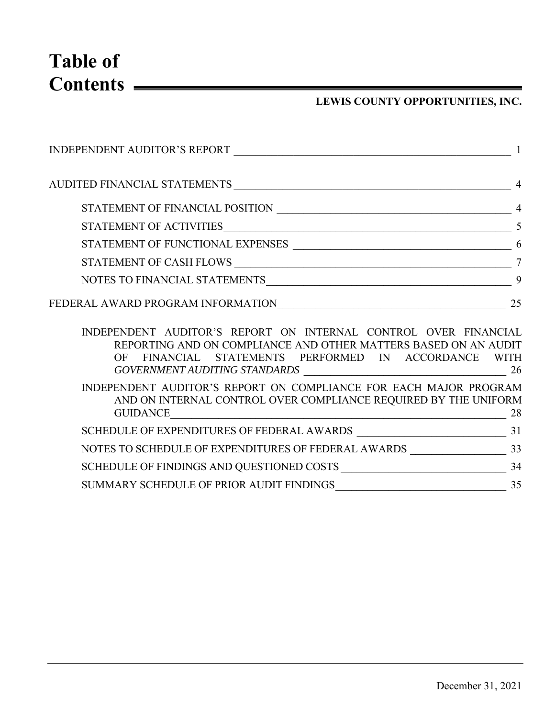**Table of Contents** 

# **LEWIS COUNTY OPPORTUNITIES, INC.**

|                                                                                                                                                                                                                                                                                                                                                                                                                                                        | $\overline{4}$ |
|--------------------------------------------------------------------------------------------------------------------------------------------------------------------------------------------------------------------------------------------------------------------------------------------------------------------------------------------------------------------------------------------------------------------------------------------------------|----------------|
|                                                                                                                                                                                                                                                                                                                                                                                                                                                        |                |
| $\begin{minipage}{.4\linewidth} \textbf{STATEMENT OF ACTIVITIES} \begin{tabular}{l} \textbf{STATEMENT OF ACTIVITIES} \end{tabular} \end{minipage}$                                                                                                                                                                                                                                                                                                     | 5              |
|                                                                                                                                                                                                                                                                                                                                                                                                                                                        |                |
| $\begin{minipage}{.4\linewidth} \textbf{STATEMENT OF CASH FLOWS} \end{minipage} \begin{minipage}{.4\linewidth} \textbf{0} & \textbf{0} & \textbf{0} & \textbf{0} & \textbf{0} & \textbf{0} & \textbf{0} & \textbf{0} & \textbf{0} & \textbf{0} & \textbf{0} & \textbf{0} & \textbf{0} & \textbf{0} & \textbf{0} & \textbf{0} & \textbf{0} & \textbf{0} & \textbf{0} & \textbf{0} & \textbf{0} & \textbf{0} & \textbf{0} & \textbf{0} & \textbf{0} & \$ | $\overline{7}$ |
|                                                                                                                                                                                                                                                                                                                                                                                                                                                        |                |
| FEDERAL AWARD PROGRAM INFORMATIONNALLY 25                                                                                                                                                                                                                                                                                                                                                                                                              |                |
| INDEPENDENT AUDITOR'S REPORT ON INTERNAL CONTROL OVER FINANCIAL<br>REPORTING AND ON COMPLIANCE AND OTHER MATTERS BASED ON AN AUDIT<br>OF FINANCIAL STATEMENTS PERFORMED IN ACCORDANCE WITH<br>GOVERNMENT AUDITING STANDARDS 26                                                                                                                                                                                                                         |                |
| INDEPENDENT AUDITOR'S REPORT ON COMPLIANCE FOR EACH MAJOR PROGRAM<br>AND ON INTERNAL CONTROL OVER COMPLIANCE REQUIRED BY THE UNIFORM<br>GUIDANCE 28                                                                                                                                                                                                                                                                                                    |                |
|                                                                                                                                                                                                                                                                                                                                                                                                                                                        |                |
|                                                                                                                                                                                                                                                                                                                                                                                                                                                        |                |
|                                                                                                                                                                                                                                                                                                                                                                                                                                                        |                |
|                                                                                                                                                                                                                                                                                                                                                                                                                                                        |                |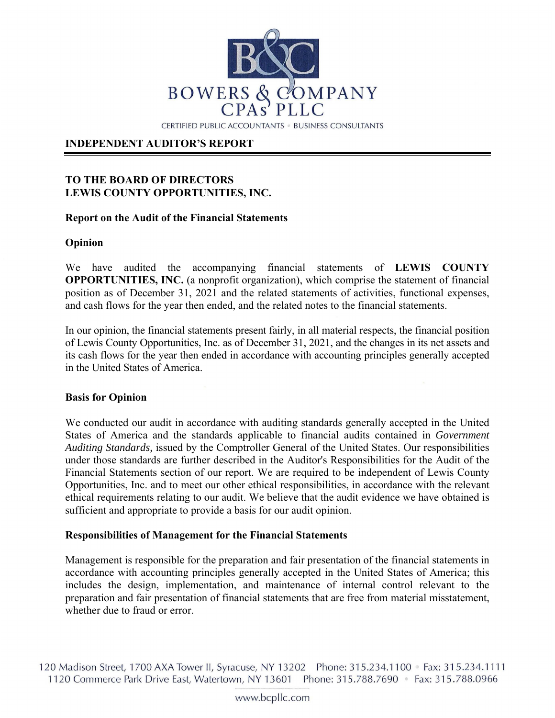

**CERTIFIED PUBLIC ACCOUNTANTS . BUSINESS CONSULTANTS** 

#### **INDEPENDENT AUDITOR'S REPORT**

#### **TO THE BOARD OF DIRECTORS LEWIS COUNTY OPPORTUNITIES, INC.**

#### **Report on the Audit of the Financial Statements**

#### **Opinion**

We have audited the accompanying financial statements of **LEWIS COUNTY OPPORTUNITIES, INC.** (a nonprofit organization), which comprise the statement of financial position as of December 31, 2021 and the related statements of activities, functional expenses, and cash flows for the year then ended, and the related notes to the financial statements.

In our opinion, the financial statements present fairly, in all material respects, the financial position of Lewis County Opportunities, Inc. as of December 31, 2021, and the changes in its net assets and its cash flows for the year then ended in accordance with accounting principles generally accepted in the United States of America.

#### **Basis for Opinion**

We conducted our audit in accordance with auditing standards generally accepted in the United States of America and the standards applicable to financial audits contained in *Government Auditing Standards,* issued by the Comptroller General of the United States. Our responsibilities under those standards are further described in the Auditor's Responsibilities for the Audit of the Financial Statements section of our report. We are required to be independent of Lewis County Opportunities, Inc. and to meet our other ethical responsibilities, in accordance with the relevant ethical requirements relating to our audit. We believe that the audit evidence we have obtained is sufficient and appropriate to provide a basis for our audit opinion.

#### **Responsibilities of Management for the Financial Statements**

Management is responsible for the preparation and fair presentation of the financial statements in accordance with accounting principles generally accepted in the United States of America; this includes the design, implementation, and maintenance of internal control relevant to the preparation and fair presentation of financial statements that are free from material misstatement, whether due to fraud or error.

120 Madison Street, 1700 AXA Tower II, Syracuse, NY 13202 Phone: 315.234.1100 • Fax: 315.234.1111 1120 Commerce Park Drive East, Watertown, NY 13601 Phone: 315.788.7690 • Fax: 315.788.0966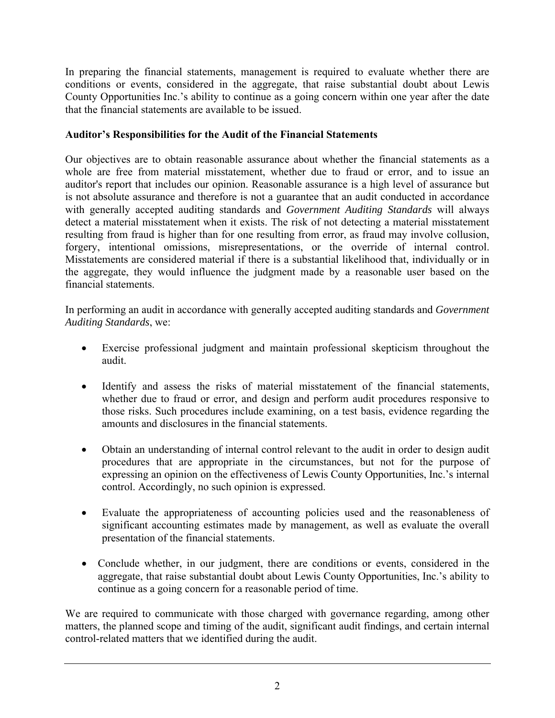In preparing the financial statements, management is required to evaluate whether there are conditions or events, considered in the aggregate, that raise substantial doubt about Lewis County Opportunities Inc.'s ability to continue as a going concern within one year after the date that the financial statements are available to be issued.

### **Auditor's Responsibilities for the Audit of the Financial Statements**

Our objectives are to obtain reasonable assurance about whether the financial statements as a whole are free from material misstatement, whether due to fraud or error, and to issue an auditor's report that includes our opinion. Reasonable assurance is a high level of assurance but is not absolute assurance and therefore is not a guarantee that an audit conducted in accordance with generally accepted auditing standards and *Government Auditing Standards* will always detect a material misstatement when it exists. The risk of not detecting a material misstatement resulting from fraud is higher than for one resulting from error, as fraud may involve collusion, forgery, intentional omissions, misrepresentations, or the override of internal control. Misstatements are considered material if there is a substantial likelihood that, individually or in the aggregate, they would influence the judgment made by a reasonable user based on the financial statements.

In performing an audit in accordance with generally accepted auditing standards and *Government Auditing Standards*, we:

- Exercise professional judgment and maintain professional skepticism throughout the audit.
- Identify and assess the risks of material misstatement of the financial statements, whether due to fraud or error, and design and perform audit procedures responsive to those risks. Such procedures include examining, on a test basis, evidence regarding the amounts and disclosures in the financial statements.
- Obtain an understanding of internal control relevant to the audit in order to design audit procedures that are appropriate in the circumstances, but not for the purpose of expressing an opinion on the effectiveness of Lewis County Opportunities, Inc.'s internal control. Accordingly, no such opinion is expressed.
- Evaluate the appropriateness of accounting policies used and the reasonableness of significant accounting estimates made by management, as well as evaluate the overall presentation of the financial statements.
- Conclude whether, in our judgment, there are conditions or events, considered in the aggregate, that raise substantial doubt about Lewis County Opportunities, Inc.'s ability to continue as a going concern for a reasonable period of time.

We are required to communicate with those charged with governance regarding, among other matters, the planned scope and timing of the audit, significant audit findings, and certain internal control-related matters that we identified during the audit.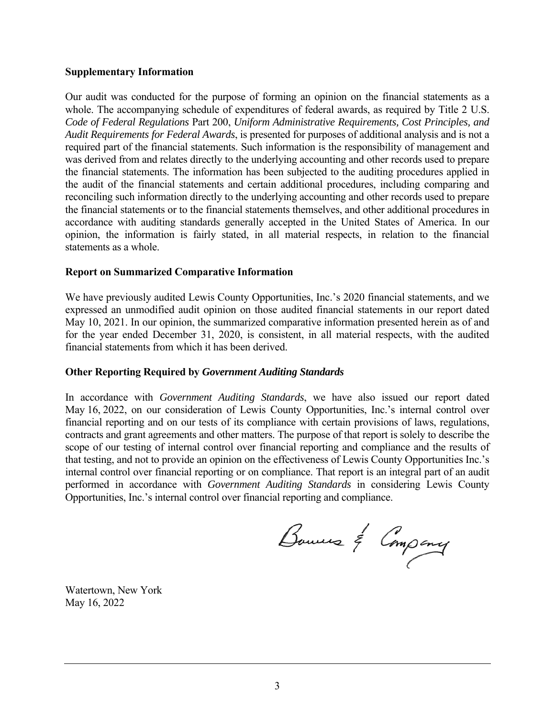#### **Supplementary Information**

Our audit was conducted for the purpose of forming an opinion on the financial statements as a whole. The accompanying schedule of expenditures of federal awards, as required by Title 2 U.S. *Code of Federal Regulations* Part 200, *Uniform Administrative Requirements, Cost Principles, and Audit Requirements for Federal Awards*, is presented for purposes of additional analysis and is not a required part of the financial statements. Such information is the responsibility of management and was derived from and relates directly to the underlying accounting and other records used to prepare the financial statements. The information has been subjected to the auditing procedures applied in the audit of the financial statements and certain additional procedures, including comparing and reconciling such information directly to the underlying accounting and other records used to prepare the financial statements or to the financial statements themselves, and other additional procedures in accordance with auditing standards generally accepted in the United States of America. In our opinion, the information is fairly stated, in all material respects, in relation to the financial statements as a whole.

#### **Report on Summarized Comparative Information**

We have previously audited Lewis County Opportunities, Inc.'s 2020 financial statements, and we expressed an unmodified audit opinion on those audited financial statements in our report dated May 10, 2021. In our opinion, the summarized comparative information presented herein as of and for the year ended December 31, 2020, is consistent, in all material respects, with the audited financial statements from which it has been derived.

#### **Other Reporting Required by** *Government Auditing Standards*

In accordance with *Government Auditing Standards*, we have also issued our report dated May 16, 2022, on our consideration of Lewis County Opportunities, Inc.'s internal control over financial reporting and on our tests of its compliance with certain provisions of laws, regulations, contracts and grant agreements and other matters. The purpose of that report is solely to describe the scope of our testing of internal control over financial reporting and compliance and the results of that testing, and not to provide an opinion on the effectiveness of Lewis County Opportunities Inc.'s internal control over financial reporting or on compliance. That report is an integral part of an audit performed in accordance with *Government Auditing Standards* in considering Lewis County Opportunities, Inc.'s internal control over financial reporting and compliance.

Bouwers & Company

Watertown, New York May 16, 2022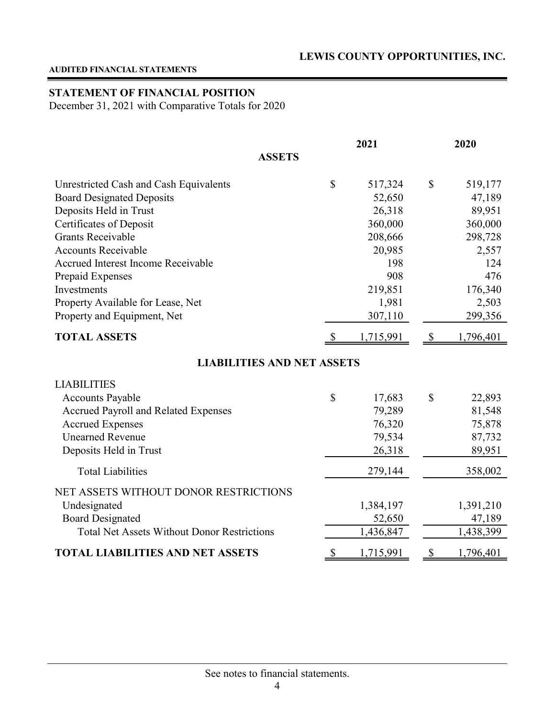#### **AUDITED FINANCIAL STATEMENTS**

# **STATEMENT OF FINANCIAL POSITION**

December 31, 2021 with Comparative Totals for 2020

|                                                    |               | 2021      |                           | 2020      |  |
|----------------------------------------------------|---------------|-----------|---------------------------|-----------|--|
| <b>ASSETS</b>                                      |               |           |                           |           |  |
| Unrestricted Cash and Cash Equivalents             | \$            | 517,324   | $\mathbb{S}$              | 519,177   |  |
| <b>Board Designated Deposits</b>                   |               | 52,650    |                           | 47,189    |  |
| Deposits Held in Trust                             |               | 26,318    |                           | 89,951    |  |
| Certificates of Deposit                            |               | 360,000   |                           | 360,000   |  |
| <b>Grants Receivable</b>                           |               | 208,666   |                           | 298,728   |  |
| <b>Accounts Receivable</b>                         |               | 20,985    |                           | 2,557     |  |
| Accrued Interest Income Receivable                 |               | 198       |                           | 124       |  |
| Prepaid Expenses                                   |               | 908       |                           | 476       |  |
| Investments                                        |               | 219,851   |                           | 176,340   |  |
| Property Available for Lease, Net                  |               | 1,981     |                           | 2,503     |  |
| Property and Equipment, Net                        |               | 307,110   |                           | 299,356   |  |
| <b>TOTAL ASSETS</b>                                | $\mathcal{S}$ | 1,715,991 | $\boldsymbol{\mathsf{S}}$ | 1,796,401 |  |
| <b>LIABILITIES AND NET ASSETS</b>                  |               |           |                           |           |  |
| <b>LIABILITIES</b>                                 |               |           |                           |           |  |
| <b>Accounts Payable</b>                            | \$            | 17,683    | \$                        | 22,893    |  |
| <b>Accrued Payroll and Related Expenses</b>        |               | 79,289    |                           | 81,548    |  |
| <b>Accrued Expenses</b>                            |               | 76,320    |                           | 75,878    |  |
| <b>Unearned Revenue</b>                            |               | 79,534    |                           | 87,732    |  |
| Deposits Held in Trust                             |               | 26,318    |                           | 89,951    |  |
| <b>Total Liabilities</b>                           |               | 279,144   |                           | 358,002   |  |
| NET ASSETS WITHOUT DONOR RESTRICTIONS              |               |           |                           |           |  |
| Undesignated                                       |               | 1,384,197 |                           | 1,391,210 |  |
| <b>Board Designated</b>                            |               | 52,650    |                           | 47,189    |  |
| <b>Total Net Assets Without Donor Restrictions</b> |               | 1,436,847 |                           | 1,438,399 |  |
| <b>TOTAL LIABILITIES AND NET ASSETS</b>            | $\mathcal{S}$ | 1,715,991 | $\mathbb{S}$              | 1,796,401 |  |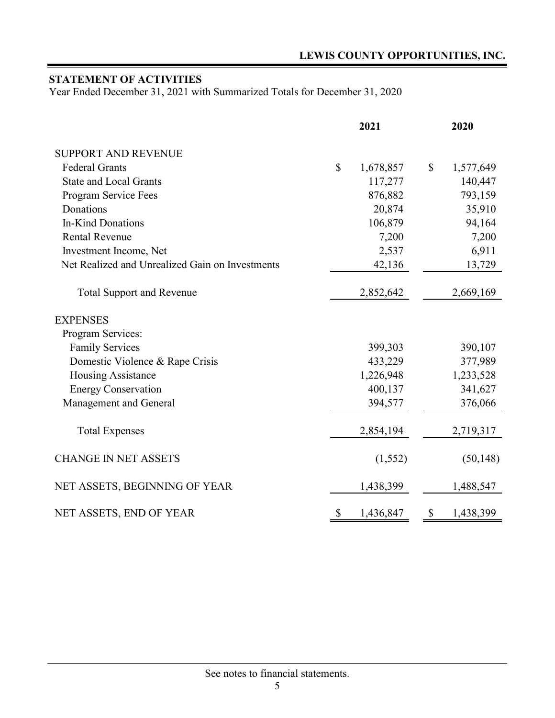# **STATEMENT OF ACTIVITIES**

Year Ended December 31, 2021 with Summarized Totals for December 31, 2020

|                                                 |              | 2021      |              | 2020      |
|-------------------------------------------------|--------------|-----------|--------------|-----------|
| <b>SUPPORT AND REVENUE</b>                      |              |           |              |           |
| <b>Federal Grants</b>                           | $\mathbb{S}$ | 1,678,857 | $\mathbb{S}$ | 1,577,649 |
| <b>State and Local Grants</b>                   |              | 117,277   |              | 140,447   |
| Program Service Fees                            |              | 876,882   |              | 793,159   |
| Donations                                       |              | 20,874    |              | 35,910    |
| <b>In-Kind Donations</b>                        |              | 106,879   |              | 94,164    |
| <b>Rental Revenue</b>                           |              | 7,200     |              | 7,200     |
| Investment Income, Net                          |              | 2,537     |              | 6,911     |
| Net Realized and Unrealized Gain on Investments |              | 42,136    |              | 13,729    |
| <b>Total Support and Revenue</b>                |              | 2,852,642 |              | 2,669,169 |
| <b>EXPENSES</b>                                 |              |           |              |           |
| Program Services:                               |              |           |              |           |
| <b>Family Services</b>                          |              | 399,303   |              | 390,107   |
| Domestic Violence & Rape Crisis                 |              | 433,229   |              | 377,989   |
| <b>Housing Assistance</b>                       |              | 1,226,948 |              | 1,233,528 |
| <b>Energy Conservation</b>                      |              | 400,137   |              | 341,627   |
| Management and General                          |              | 394,577   |              | 376,066   |
| <b>Total Expenses</b>                           |              | 2,854,194 |              | 2,719,317 |
| <b>CHANGE IN NET ASSETS</b>                     |              | (1, 552)  |              | (50, 148) |
| NET ASSETS, BEGINNING OF YEAR                   |              | 1,438,399 |              | 1,488,547 |
| NET ASSETS, END OF YEAR                         | \$           | 1,436,847 | \$           | 1,438,399 |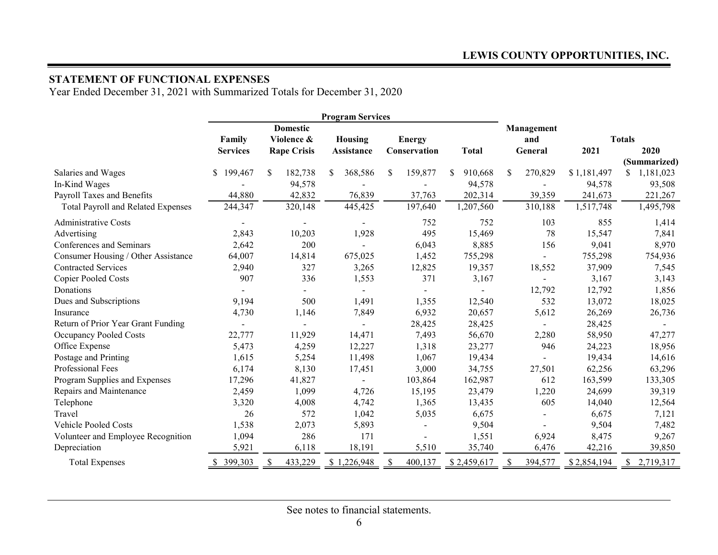#### **STATEMENT OF FUNCTIONAL EXPENSES**

Year Ended December 31, 2021 with Summarized Totals for December 31, 2020

| <b>Program Services</b>             |                         |    |                    |   |                |    |               |               |              |               |                          |             |               |              |
|-------------------------------------|-------------------------|----|--------------------|---|----------------|----|---------------|---------------|--------------|---------------|--------------------------|-------------|---------------|--------------|
|                                     |                         |    | <b>Domestic</b>    |   |                |    |               |               |              |               | Management               |             |               |              |
|                                     | Family                  |    | Violence &         |   | <b>Housing</b> |    | <b>Energy</b> |               |              |               | and                      |             | <b>Totals</b> |              |
|                                     | <b>Services</b>         |    | <b>Rape Crisis</b> |   | Assistance     |    | Conservation  |               | <b>Total</b> |               | General                  | 2021        |               | 2020         |
|                                     |                         |    |                    |   |                |    |               |               |              |               |                          |             |               | (Summarized) |
| Salaries and Wages                  | 199,467<br><sup>S</sup> | S. | 182,738            | S | 368,586        | S. | 159,877       | <sup>\$</sup> | 910,668      | <sup>\$</sup> | 270,829                  | \$1,181,497 | \$.           | 1,181,023    |
| In-Kind Wages                       |                         |    | 94,578             |   |                |    |               |               | 94,578       |               |                          | 94,578      |               | 93,508       |
| Payroll Taxes and Benefits          | 44,880                  |    | 42,832             |   | 76,839         |    | 37,763        |               | 202,314      |               | 39,359                   | 241,673     |               | 221,267      |
| Total Payroll and Related Expenses  | 244,347                 |    | 320,148            |   | 445,425        |    | 197,640       |               | 1,207,560    |               | 310,188                  | 1,517,748   |               | 1,495,798    |
| <b>Administrative Costs</b>         |                         |    |                    |   |                |    | 752           |               | 752          |               | 103                      | 855         |               | 1,414        |
| Advertising                         | 2,843                   |    | 10,203             |   | 1,928          |    | 495           |               | 15,469       |               | 78                       | 15,547      |               | 7,841        |
| Conferences and Seminars            | 2,642                   |    | 200                |   |                |    | 6,043         |               | 8,885        |               | 156                      | 9,041       |               | 8,970        |
| Consumer Housing / Other Assistance | 64,007                  |    | 14,814             |   | 675,025        |    | 1,452         |               | 755,298      |               |                          | 755,298     |               | 754,936      |
| <b>Contracted Services</b>          | 2,940                   |    | 327                |   | 3,265          |    | 12,825        |               | 19,357       |               | 18,552                   | 37,909      |               | 7,545        |
| <b>Copier Pooled Costs</b>          | 907                     |    | 336                |   | 1,553          |    | 371           |               | 3,167        |               | $\overline{\phantom{0}}$ | 3,167       |               | 3,143        |
| Donations                           |                         |    |                    |   |                |    |               |               |              |               | 12,792                   | 12,792      |               | 1,856        |
| Dues and Subscriptions              | 9,194                   |    | 500                |   | 1,491          |    | 1,355         |               | 12,540       |               | 532                      | 13,072      |               | 18,025       |
| Insurance                           | 4,730                   |    | 1,146              |   | 7,849          |    | 6,932         |               | 20,657       |               | 5,612                    | 26,269      |               | 26,736       |
| Return of Prior Year Grant Funding  |                         |    |                    |   |                |    | 28,425        |               | 28,425       |               |                          | 28,425      |               |              |
| <b>Occupancy Pooled Costs</b>       | 22,777                  |    | 11,929             |   | 14,471         |    | 7,493         |               | 56,670       |               | 2,280                    | 58,950      |               | 47,277       |
| Office Expense                      | 5,473                   |    | 4,259              |   | 12,227         |    | 1,318         |               | 23,277       |               | 946                      | 24,223      |               | 18,956       |
| Postage and Printing                | 1,615                   |    | 5,254              |   | 11,498         |    | 1,067         |               | 19,434       |               |                          | 19,434      |               | 14,616       |
| Professional Fees                   | 6,174                   |    | 8,130              |   | 17,451         |    | 3,000         |               | 34,755       |               | 27,501                   | 62,256      |               | 63,296       |
| Program Supplies and Expenses       | 17,296                  |    | 41,827             |   | $\blacksquare$ |    | 103,864       |               | 162,987      |               | 612                      | 163,599     |               | 133,305      |
| Repairs and Maintenance             | 2,459                   |    | 1,099              |   | 4,726          |    | 15,195        |               | 23,479       |               | 1,220                    | 24,699      |               | 39,319       |
| Telephone                           | 3,320                   |    | 4,008              |   | 4,742          |    | 1,365         |               | 13,435       |               | 605                      | 14,040      |               | 12,564       |
| Travel                              | 26                      |    | 572                |   | 1,042          |    | 5,035         |               | 6,675        |               |                          | 6,675       |               | 7,121        |
| <b>Vehicle Pooled Costs</b>         | 1,538                   |    | 2,073              |   | 5,893          |    |               |               | 9,504        |               |                          | 9,504       |               | 7,482        |
| Volunteer and Employee Recognition  | 1,094                   |    | 286                |   | 171            |    |               |               | 1,551        |               | 6,924                    | 8,475       |               | 9,267        |
| Depreciation                        | 5,921                   |    | 6,118              |   | 18,191         |    | 5,510         |               | 35,740       |               | 6,476                    | 42,216      |               | 39,850       |
| <b>Total Expenses</b>               | \$399,303               |    | 433,229            |   | \$1,226,948    | \$ | 400,137       |               | \$2,459,617  | S             | 394,577                  | \$2,854,194 | S.            | 2,719,317    |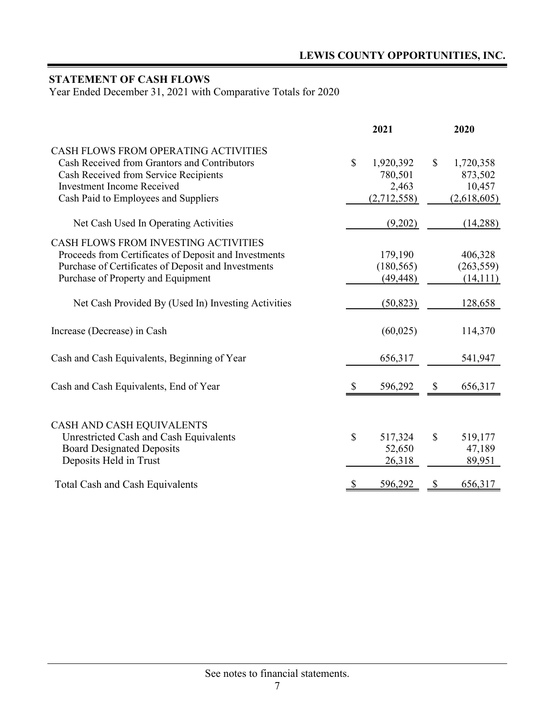# **STATEMENT OF CASH FLOWS**

Year Ended December 31, 2021 with Comparative Totals for 2020

|                                                                                                                                                                                                                                                   |                           | 2021                                         |              | 2020                                          |
|---------------------------------------------------------------------------------------------------------------------------------------------------------------------------------------------------------------------------------------------------|---------------------------|----------------------------------------------|--------------|-----------------------------------------------|
| CASH FLOWS FROM OPERATING ACTIVITIES<br>Cash Received from Grantors and Contributors<br>Cash Received from Service Recipients<br><b>Investment Income Received</b><br>Cash Paid to Employees and Suppliers                                        | $\mathbb{S}$              | 1,920,392<br>780,501<br>2,463<br>(2,712,558) | $\mathbb{S}$ | 1,720,358<br>873,502<br>10,457<br>(2,618,605) |
| Net Cash Used In Operating Activities                                                                                                                                                                                                             |                           | (9,202)                                      |              | (14,288)                                      |
| CASH FLOWS FROM INVESTING ACTIVITIES<br>Proceeds from Certificates of Deposit and Investments<br>Purchase of Certificates of Deposit and Investments<br>Purchase of Property and Equipment<br>Net Cash Provided By (Used In) Investing Activities |                           | 179,190<br>(180, 565)<br>(49, 448)           |              | 406,328<br>(263, 559)<br>(14,111)             |
|                                                                                                                                                                                                                                                   |                           | (50, 823)                                    |              | 128,658                                       |
| Increase (Decrease) in Cash                                                                                                                                                                                                                       |                           | (60,025)                                     |              | 114,370                                       |
| Cash and Cash Equivalents, Beginning of Year                                                                                                                                                                                                      |                           | 656,317                                      |              | 541,947                                       |
| Cash and Cash Equivalents, End of Year                                                                                                                                                                                                            |                           | 596,292                                      |              | 656,317                                       |
| CASH AND CASH EQUIVALENTS<br>Unrestricted Cash and Cash Equivalents<br><b>Board Designated Deposits</b><br>Deposits Held in Trust                                                                                                                 | \$                        | 517,324<br>52,650<br>26,318                  | \$           | 519,177<br>47,189<br>89,951                   |
| <b>Total Cash and Cash Equivalents</b>                                                                                                                                                                                                            | $\boldsymbol{\mathsf{S}}$ | 596,292                                      | S            | 656,317                                       |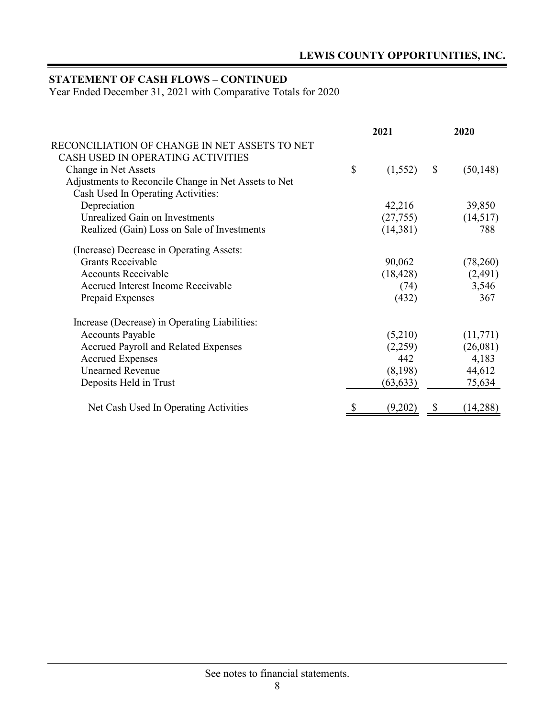# **STATEMENT OF CASH FLOWS – CONTINUED**

Year Ended December 31, 2021 with Comparative Totals for 2020

|                                                      | 2021           | 2020            |
|------------------------------------------------------|----------------|-----------------|
| RECONCILIATION OF CHANGE IN NET ASSETS TO NET        |                |                 |
| CASH USED IN OPERATING ACTIVITIES                    |                |                 |
| Change in Net Assets                                 | \$<br>(1, 552) | \$<br>(50, 148) |
| Adjustments to Reconcile Change in Net Assets to Net |                |                 |
| Cash Used In Operating Activities:                   |                |                 |
| Depreciation                                         | 42,216         | 39,850          |
| Unrealized Gain on Investments                       | (27, 755)      | (14,517)        |
| Realized (Gain) Loss on Sale of Investments          | (14, 381)      | 788             |
| (Increase) Decrease in Operating Assets:             |                |                 |
| <b>Grants Receivable</b>                             | 90,062         | (78,260)        |
| <b>Accounts Receivable</b>                           | (18, 428)      | (2,491)         |
| Accrued Interest Income Receivable                   | (74)           | 3,546           |
| Prepaid Expenses                                     | (432)          | 367             |
| Increase (Decrease) in Operating Liabilities:        |                |                 |
| <b>Accounts Payable</b>                              | (5,210)        | (11,771)        |
| Accrued Payroll and Related Expenses                 | (2,259)        | (26,081)        |
| <b>Accrued Expenses</b>                              | 442            | 4,183           |
| <b>Unearned Revenue</b>                              | (8,198)        | 44,612          |
| Deposits Held in Trust                               | (63, 633)      | 75,634          |
| Net Cash Used In Operating Activities                | (9,202)        | (14, 288)       |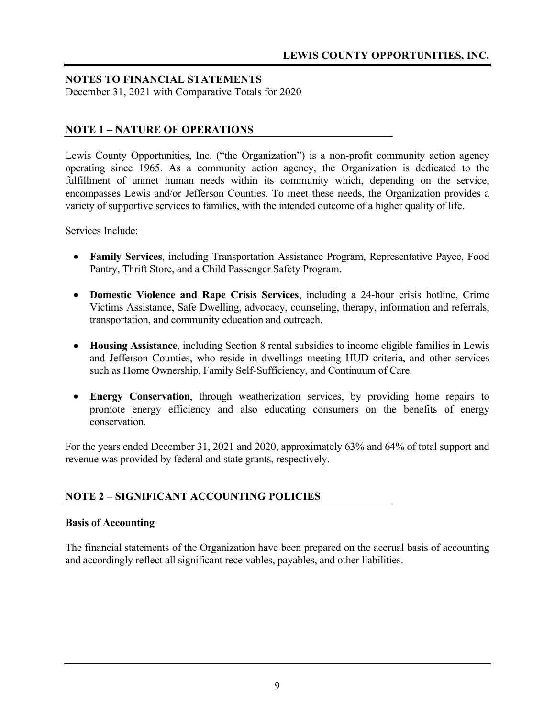December 31, 2021 with Comparative Totals for 2020

### **NOTE 1 – NATURE OF OPERATIONS**

Lewis County Opportunities, Inc. ("the Organization") is a non-profit community action agency operating since 1965. As a community action agency, the Organization is dedicated to the fulfillment of unmet human needs within its community which, depending on the service, encompasses Lewis and/or Jefferson Counties. To meet these needs, the Organization provides a variety of supportive services to families, with the intended outcome of a higher quality of life.

Services Include:

- **Family Services**, including Transportation Assistance Program, Representative Payee, Food Pantry, Thrift Store, and a Child Passenger Safety Program.
- **Domestic Violence and Rape Crisis Services**, including a 24-hour crisis hotline, Crime Victims Assistance, Safe Dwelling, advocacy, counseling, therapy, information and referrals, transportation, and community education and outreach.
- **Housing Assistance**, including Section 8 rental subsidies to income eligible families in Lewis and Jefferson Counties, who reside in dwellings meeting HUD criteria, and other services such as Home Ownership, Family Self-Sufficiency, and Continuum of Care.
- **Energy Conservation**, through weatherization services, by providing home repairs to promote energy efficiency and also educating consumers on the benefits of energy conservation.

For the years ended December 31, 2021 and 2020, approximately 63% and 64% of total support and revenue was provided by federal and state grants, respectively.

### **NOTE 2 – SIGNIFICANT ACCOUNTING POLICIES**

#### **Basis of Accounting**

The financial statements of the Organization have been prepared on the accrual basis of accounting and accordingly reflect all significant receivables, payables, and other liabilities.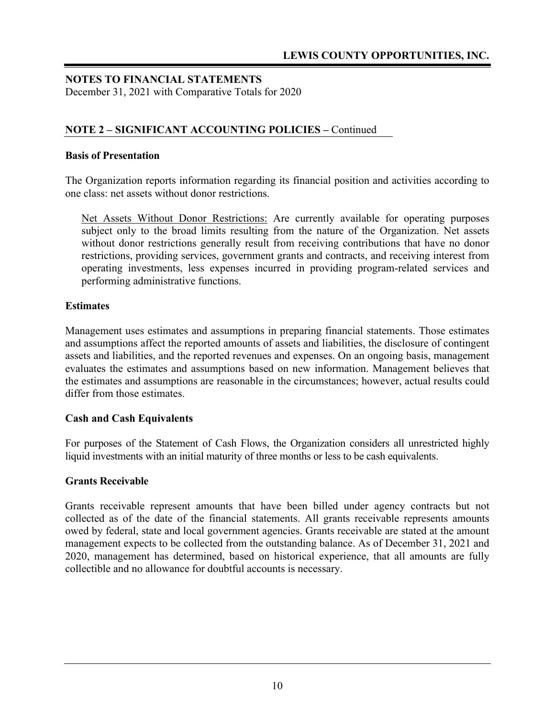December 31, 2021 with Comparative Totals for 2020

### **NOTE 2 – SIGNIFICANT ACCOUNTING POLICIES –** Continued

#### **Basis of Presentation**

The Organization reports information regarding its financial position and activities according to one class: net assets without donor restrictions.

Net Assets Without Donor Restrictions: Are currently available for operating purposes subject only to the broad limits resulting from the nature of the Organization. Net assets without donor restrictions generally result from receiving contributions that have no donor restrictions, providing services, government grants and contracts, and receiving interest from operating investments, less expenses incurred in providing program-related services and performing administrative functions.

#### **Estimates**

Management uses estimates and assumptions in preparing financial statements. Those estimates and assumptions affect the reported amounts of assets and liabilities, the disclosure of contingent assets and liabilities, and the reported revenues and expenses. On an ongoing basis, management evaluates the estimates and assumptions based on new information. Management believes that the estimates and assumptions are reasonable in the circumstances; however, actual results could differ from those estimates.

#### **Cash and Cash Equivalents**

For purposes of the Statement of Cash Flows, the Organization considers all unrestricted highly liquid investments with an initial maturity of three months or less to be cash equivalents.

#### **Grants Receivable**

Grants receivable represent amounts that have been billed under agency contracts but not collected as of the date of the financial statements. All grants receivable represents amounts owed by federal, state and local government agencies. Grants receivable are stated at the amount management expects to be collected from the outstanding balance. As of December 31, 2021 and 2020, management has determined, based on historical experience, that all amounts are fully collectible and no allowance for doubtful accounts is necessary.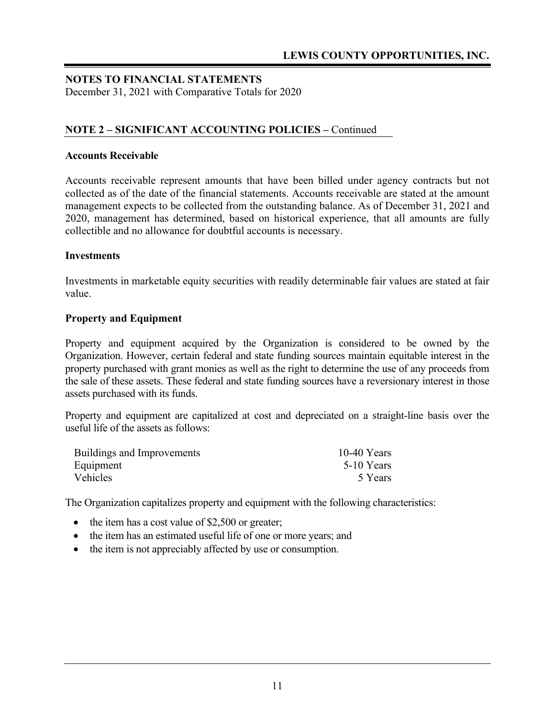December 31, 2021 with Comparative Totals for 2020

### **NOTE 2 – SIGNIFICANT ACCOUNTING POLICIES –** Continued

#### **Accounts Receivable**

Accounts receivable represent amounts that have been billed under agency contracts but not collected as of the date of the financial statements. Accounts receivable are stated at the amount management expects to be collected from the outstanding balance. As of December 31, 2021 and 2020, management has determined, based on historical experience, that all amounts are fully collectible and no allowance for doubtful accounts is necessary.

#### **Investments**

Investments in marketable equity securities with readily determinable fair values are stated at fair value.

#### **Property and Equipment**

Property and equipment acquired by the Organization is considered to be owned by the Organization. However, certain federal and state funding sources maintain equitable interest in the property purchased with grant monies as well as the right to determine the use of any proceeds from the sale of these assets. These federal and state funding sources have a reversionary interest in those assets purchased with its funds.

Property and equipment are capitalized at cost and depreciated on a straight-line basis over the useful life of the assets as follows:

| Buildings and Improvements | $10-40$ Years |
|----------------------------|---------------|
| Equipment                  | 5-10 Years    |
| Vehicles                   | 5 Years       |

The Organization capitalizes property and equipment with the following characteristics:

- the item has a cost value of \$2,500 or greater;
- the item has an estimated useful life of one or more years; and
- the item is not appreciably affected by use or consumption.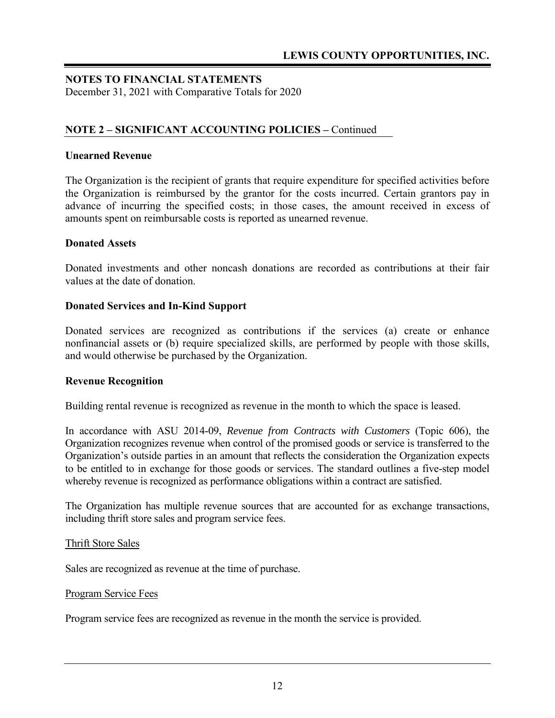December 31, 2021 with Comparative Totals for 2020

### **NOTE 2 – SIGNIFICANT ACCOUNTING POLICIES –** Continued

#### **Unearned Revenue**

The Organization is the recipient of grants that require expenditure for specified activities before the Organization is reimbursed by the grantor for the costs incurred. Certain grantors pay in advance of incurring the specified costs; in those cases, the amount received in excess of amounts spent on reimbursable costs is reported as unearned revenue.

#### **Donated Assets**

Donated investments and other noncash donations are recorded as contributions at their fair values at the date of donation.

#### **Donated Services and In-Kind Support**

Donated services are recognized as contributions if the services (a) create or enhance nonfinancial assets or (b) require specialized skills, are performed by people with those skills, and would otherwise be purchased by the Organization.

#### **Revenue Recognition**

Building rental revenue is recognized as revenue in the month to which the space is leased.

In accordance with ASU 2014-09, *Revenue from Contracts with Customers* (Topic 606), the Organization recognizes revenue when control of the promised goods or service is transferred to the Organization's outside parties in an amount that reflects the consideration the Organization expects to be entitled to in exchange for those goods or services. The standard outlines a five-step model whereby revenue is recognized as performance obligations within a contract are satisfied.

The Organization has multiple revenue sources that are accounted for as exchange transactions, including thrift store sales and program service fees.

#### Thrift Store Sales

Sales are recognized as revenue at the time of purchase.

#### Program Service Fees

Program service fees are recognized as revenue in the month the service is provided.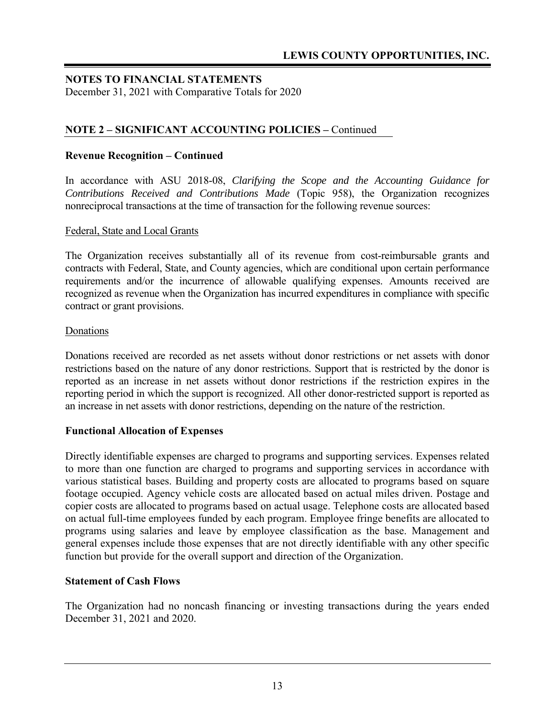December 31, 2021 with Comparative Totals for 2020

### **NOTE 2 – SIGNIFICANT ACCOUNTING POLICIES –** Continued

#### **Revenue Recognition – Continued**

In accordance with ASU 2018-08, *Clarifying the Scope and the Accounting Guidance for Contributions Received and Contributions Made* (Topic 958), the Organization recognizes nonreciprocal transactions at the time of transaction for the following revenue sources:

#### Federal, State and Local Grants

The Organization receives substantially all of its revenue from cost-reimbursable grants and contracts with Federal, State, and County agencies, which are conditional upon certain performance requirements and/or the incurrence of allowable qualifying expenses. Amounts received are recognized as revenue when the Organization has incurred expenditures in compliance with specific contract or grant provisions.

#### Donations

Donations received are recorded as net assets without donor restrictions or net assets with donor restrictions based on the nature of any donor restrictions. Support that is restricted by the donor is reported as an increase in net assets without donor restrictions if the restriction expires in the reporting period in which the support is recognized. All other donor-restricted support is reported as an increase in net assets with donor restrictions, depending on the nature of the restriction.

#### **Functional Allocation of Expenses**

Directly identifiable expenses are charged to programs and supporting services. Expenses related to more than one function are charged to programs and supporting services in accordance with various statistical bases. Building and property costs are allocated to programs based on square footage occupied. Agency vehicle costs are allocated based on actual miles driven. Postage and copier costs are allocated to programs based on actual usage. Telephone costs are allocated based on actual full-time employees funded by each program. Employee fringe benefits are allocated to programs using salaries and leave by employee classification as the base. Management and general expenses include those expenses that are not directly identifiable with any other specific function but provide for the overall support and direction of the Organization.

#### **Statement of Cash Flows**

The Organization had no noncash financing or investing transactions during the years ended December 31, 2021 and 2020.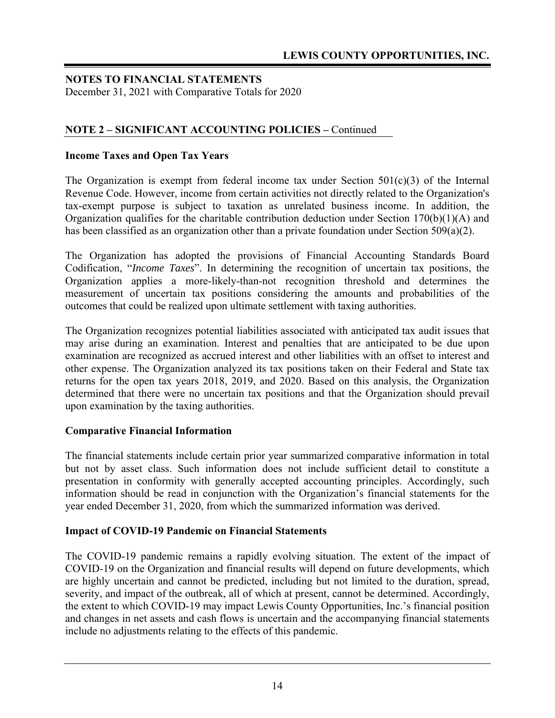December 31, 2021 with Comparative Totals for 2020

### **NOTE 2 – SIGNIFICANT ACCOUNTING POLICIES –** Continued

#### **Income Taxes and Open Tax Years**

The Organization is exempt from federal income tax under Section  $501(c)(3)$  of the Internal Revenue Code. However, income from certain activities not directly related to the Organization's tax-exempt purpose is subject to taxation as unrelated business income. In addition, the Organization qualifies for the charitable contribution deduction under Section 170(b)(1)(A) and has been classified as an organization other than a private foundation under Section 509(a)(2).

The Organization has adopted the provisions of Financial Accounting Standards Board Codification, "*Income Taxes*". In determining the recognition of uncertain tax positions, the Organization applies a more-likely-than-not recognition threshold and determines the measurement of uncertain tax positions considering the amounts and probabilities of the outcomes that could be realized upon ultimate settlement with taxing authorities.

The Organization recognizes potential liabilities associated with anticipated tax audit issues that may arise during an examination. Interest and penalties that are anticipated to be due upon examination are recognized as accrued interest and other liabilities with an offset to interest and other expense. The Organization analyzed its tax positions taken on their Federal and State tax returns for the open tax years 2018, 2019, and 2020. Based on this analysis, the Organization determined that there were no uncertain tax positions and that the Organization should prevail upon examination by the taxing authorities.

#### **Comparative Financial Information**

The financial statements include certain prior year summarized comparative information in total but not by asset class. Such information does not include sufficient detail to constitute a presentation in conformity with generally accepted accounting principles. Accordingly, such information should be read in conjunction with the Organization's financial statements for the year ended December 31, 2020, from which the summarized information was derived.

#### **Impact of COVID-19 Pandemic on Financial Statements**

The COVID-19 pandemic remains a rapidly evolving situation. The extent of the impact of COVID-19 on the Organization and financial results will depend on future developments, which are highly uncertain and cannot be predicted, including but not limited to the duration, spread, severity, and impact of the outbreak, all of which at present, cannot be determined. Accordingly, the extent to which COVID-19 may impact Lewis County Opportunities, Inc.'s financial position and changes in net assets and cash flows is uncertain and the accompanying financial statements include no adjustments relating to the effects of this pandemic.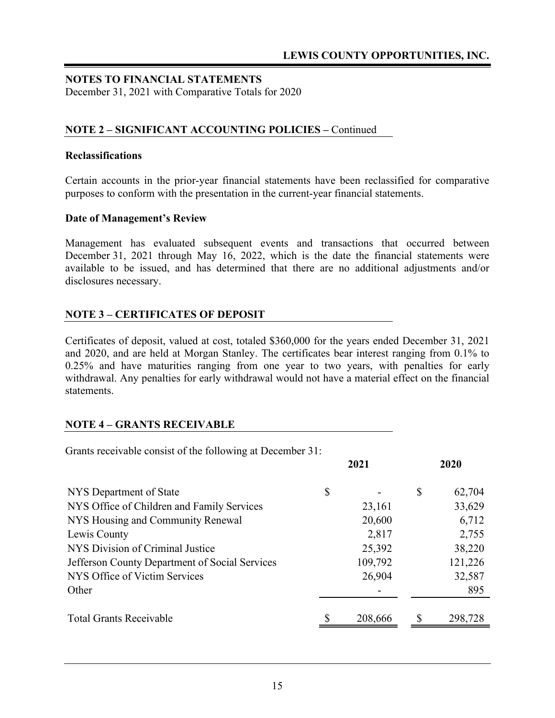December 31, 2021 with Comparative Totals for 2020

### **NOTE 2 – SIGNIFICANT ACCOUNTING POLICIES –** Continued

#### **Reclassifications**

Certain accounts in the prior-year financial statements have been reclassified for comparative purposes to conform with the presentation in the current-year financial statements.

#### **Date of Management's Review**

Management has evaluated subsequent events and transactions that occurred between December 31, 2021 through May 16, 2022, which is the date the financial statements were available to be issued, and has determined that there are no additional adjustments and/or disclosures necessary.

### **NOTE 3 – CERTIFICATES OF DEPOSIT**

Certificates of deposit, valued at cost, totaled \$360,000 for the years ended December 31, 2021 and 2020, and are held at Morgan Stanley. The certificates bear interest ranging from 0.1% to 0.25% and have maturities ranging from one year to two years, with penalties for early withdrawal. Any penalties for early withdrawal would not have a material effect on the financial statements.

#### **NOTE 4 – GRANTS RECEIVABLE**

| Grants receivable consist of the following at December 31: |         |    |         |
|------------------------------------------------------------|---------|----|---------|
|                                                            | 2021    |    | 2020    |
| NYS Department of State                                    | \$      | \$ | 62,704  |
| NYS Office of Children and Family Services                 | 23,161  |    | 33,629  |
| NYS Housing and Community Renewal                          | 20,600  |    | 6,712   |
| Lewis County                                               | 2,817   |    | 2,755   |
| NYS Division of Criminal Justice                           | 25,392  |    | 38,220  |
| Jefferson County Department of Social Services             | 109,792 |    | 121,226 |
| NYS Office of Victim Services                              | 26,904  |    | 32,587  |
| Other                                                      |         |    | 895     |
| <b>Total Grants Receivable</b>                             | 208,666 | ¢  | 298,728 |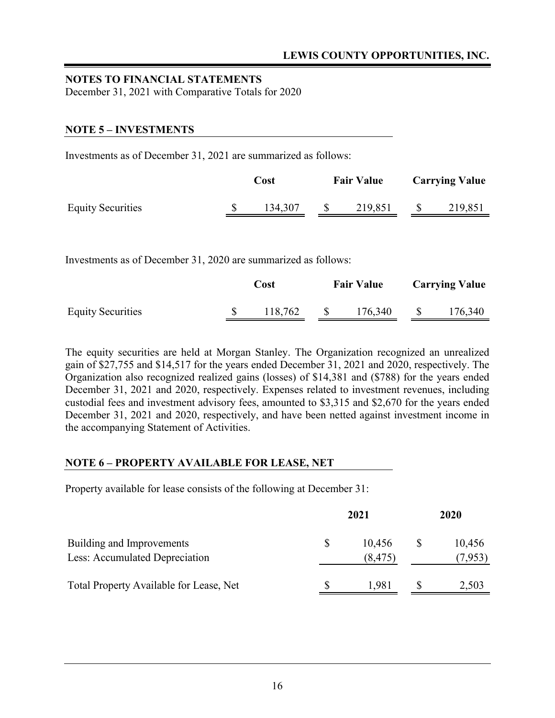December 31, 2021 with Comparative Totals for 2020

### **NOTE 5 – INVESTMENTS**

Investments as of December 31, 2021 are summarized as follows:

|                          | <b>Fair Value</b><br>Cost |  |         | <b>Carrying Value</b> |
|--------------------------|---------------------------|--|---------|-----------------------|
| <b>Equity Securities</b> | 134,307                   |  | 219,851 | 219,851               |

Investments as of December 31, 2020 are summarized as follows:

|                          | <b>Fair Value</b><br>Cost |  |         | <b>Carrying Value</b> |         |  |  |
|--------------------------|---------------------------|--|---------|-----------------------|---------|--|--|
| <b>Equity Securities</b> | 118,762                   |  | 176,340 |                       | 176,340 |  |  |

The equity securities are held at Morgan Stanley. The Organization recognized an unrealized gain of \$27,755 and \$14,517 for the years ended December 31, 2021 and 2020, respectively. The Organization also recognized realized gains (losses) of \$14,381 and (\$788) for the years ended December 31, 2021 and 2020, respectively. Expenses related to investment revenues, including custodial fees and investment advisory fees, amounted to \$3,315 and \$2,670 for the years ended December 31, 2021 and 2020, respectively, and have been netted against investment income in the accompanying Statement of Activities.

#### **NOTE 6 – PROPERTY AVAILABLE FOR LEASE, NET**

Property available for lease consists of the following at December 31:

|                                                             | 2021               | 2020              |
|-------------------------------------------------------------|--------------------|-------------------|
| Building and Improvements<br>Less: Accumulated Depreciation | 10,456<br>(8, 475) | 10,456<br>(7,953) |
| Total Property Available for Lease, Net                     | 1,981              | 2,503             |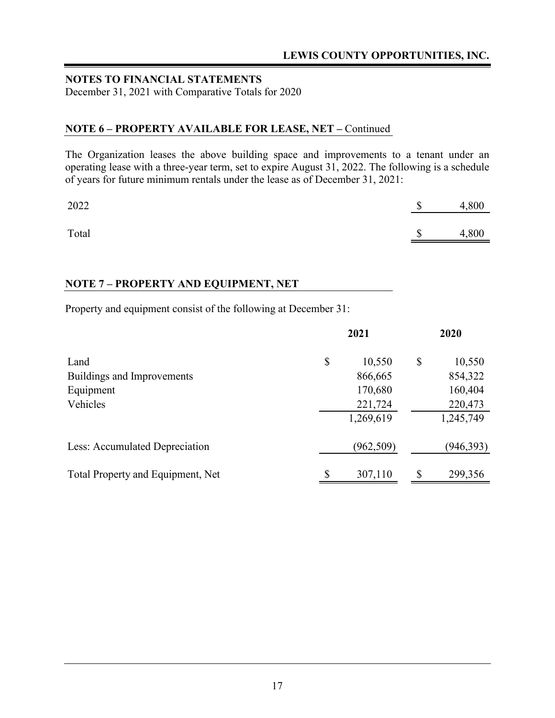December 31, 2021 with Comparative Totals for 2020

### **NOTE 6 – PROPERTY AVAILABLE FOR LEASE, NET –** Continued

The Organization leases the above building space and improvements to a tenant under an operating lease with a three-year term, set to expire August 31, 2022. The following is a schedule of years for future minimum rentals under the lease as of December 31, 2021:

| 2022  | $\mathbb{S}$  | 4,800 |
|-------|---------------|-------|
| Total | $\mathcal{S}$ | 4,800 |
|       |               |       |

### **NOTE 7 – PROPERTY AND EQUIPMENT, NET**

Property and equipment consist of the following at December 31:

|                                   | 2021          |    |           |
|-----------------------------------|---------------|----|-----------|
| Land                              | \$<br>10,550  | \$ | 10,550    |
| Buildings and Improvements        | 866,665       |    | 854,322   |
| Equipment                         | 170,680       |    | 160,404   |
| Vehicles                          | 221,724       |    | 220,473   |
|                                   | 1,269,619     |    | 1,245,749 |
| Less: Accumulated Depreciation    | (962, 509)    |    | (946,393) |
| Total Property and Equipment, Net | \$<br>307,110 | \$ | 299,356   |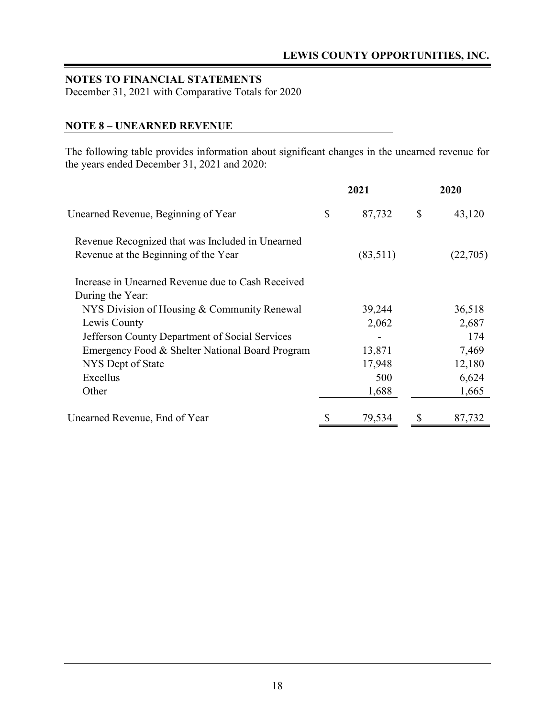December 31, 2021 with Comparative Totals for 2020

#### **NOTE 8 – UNEARNED REVENUE**

The following table provides information about significant changes in the unearned revenue for the years ended December 31, 2021 and 2020:

|                                                   | 2021         |          | 2020         |  |
|---------------------------------------------------|--------------|----------|--------------|--|
| Unearned Revenue, Beginning of Year               | $\mathbb{S}$ | 87,732   | \$<br>43,120 |  |
| Revenue Recognized that was Included in Unearned  |              |          |              |  |
| Revenue at the Beginning of the Year              |              | (83,511) | (22,705)     |  |
| Increase in Unearned Revenue due to Cash Received |              |          |              |  |
| During the Year:                                  |              |          |              |  |
| NYS Division of Housing & Community Renewal       |              | 39,244   | 36,518       |  |
| Lewis County                                      |              | 2,062    | 2,687        |  |
| Jefferson County Department of Social Services    |              |          | 174          |  |
| Emergency Food & Shelter National Board Program   |              | 13,871   | 7,469        |  |
| NYS Dept of State                                 |              | 17,948   | 12,180       |  |
| Excellus                                          |              | 500      | 6,624        |  |
| Other                                             |              | 1,688    | 1,665        |  |
| Unearned Revenue, End of Year                     |              | 79,534   | \$<br>87,732 |  |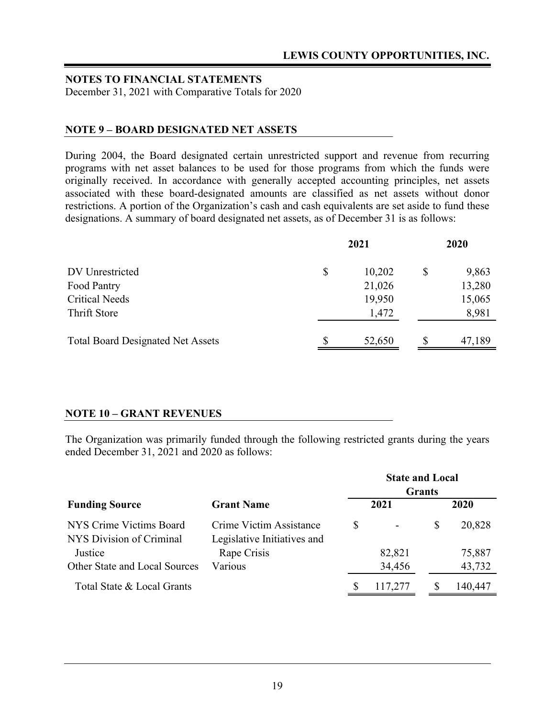December 31, 2021 with Comparative Totals for 2020

#### **NOTE 9 – BOARD DESIGNATED NET ASSETS**

During 2004, the Board designated certain unrestricted support and revenue from recurring programs with net asset balances to be used for those programs from which the funds were originally received. In accordance with generally accepted accounting principles, net assets associated with these board-designated amounts are classified as net assets without donor restrictions. A portion of the Organization's cash and cash equivalents are set aside to fund these designations. A summary of board designated net assets, as of December 31 is as follows:

|    | 2021   | 2020        |
|----|--------|-------------|
| \$ | 10,202 | \$<br>9,863 |
|    | 21,026 | 13,280      |
|    | 19,950 | 15,065      |
|    | 1,472  | 8,981       |
| S  | 52,650 | 47,189      |
|    |        |             |

#### **NOTE 10 – GRANT REVENUES**

The Organization was primarily funded through the following restricted grants during the years ended December 31, 2021 and 2020 as follows:

|                                                     |                                                        | <b>State and Local</b><br><b>Grants</b> |         |    |         |
|-----------------------------------------------------|--------------------------------------------------------|-----------------------------------------|---------|----|---------|
| <b>Funding Source</b>                               | <b>Grant Name</b>                                      |                                         | 2021    |    | 2020    |
| NYS Crime Victims Board<br>NYS Division of Criminal | Crime Victim Assistance<br>Legislative Initiatives and | \$                                      |         | -S | 20,828  |
| Justice                                             | Rape Crisis                                            |                                         | 82,821  |    | 75,887  |
| Other State and Local Sources                       | Various                                                |                                         | 34,456  |    | 43,732  |
| Total State & Local Grants                          |                                                        |                                         | 117,277 |    | 140,447 |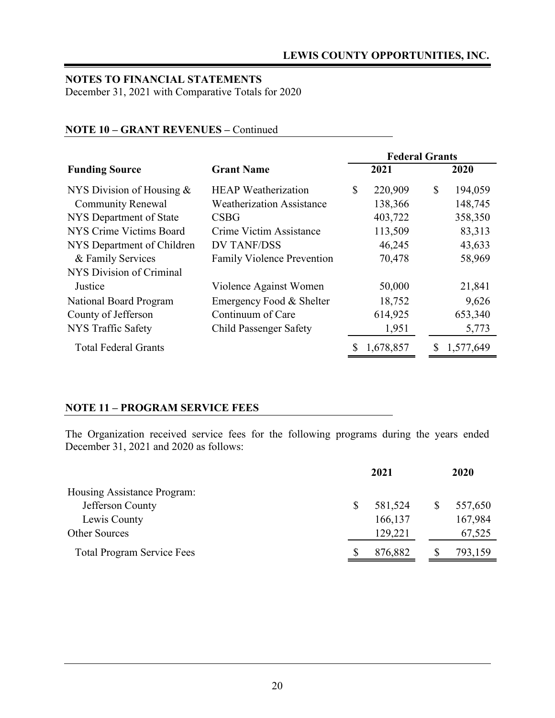December 31, 2021 with Comparative Totals for 2020

### **NOTE 10 – GRANT REVENUES –** Continued

|                                            |                                   | <b>Federal Grants</b> |           |              |           |  |
|--------------------------------------------|-----------------------------------|-----------------------|-----------|--------------|-----------|--|
| <b>Grant Name</b><br><b>Funding Source</b> |                                   |                       | 2021      |              | 2020      |  |
| NYS Division of Housing $&$                | <b>HEAP</b> Weatherization        | \$                    | 220,909   | $\mathbb{S}$ | 194,059   |  |
| <b>Community Renewal</b>                   | <b>Weatherization Assistance</b>  |                       | 138,366   |              | 148,745   |  |
| NYS Department of State                    | <b>CSBG</b>                       |                       | 403,722   |              | 358,350   |  |
| NYS Crime Victims Board                    | Crime Victim Assistance           |                       | 113,509   |              | 83,313    |  |
| NYS Department of Children                 | <b>DV TANF/DSS</b>                |                       | 46,245    |              | 43,633    |  |
| & Family Services                          | <b>Family Violence Prevention</b> |                       | 70,478    |              | 58,969    |  |
| NYS Division of Criminal                   |                                   |                       |           |              |           |  |
| Justice                                    | Violence Against Women            |                       | 50,000    |              | 21,841    |  |
| National Board Program                     | Emergency Food & Shelter          |                       | 18,752    |              | 9,626     |  |
| County of Jefferson                        | Continuum of Care                 |                       | 614,925   |              | 653,340   |  |
| NYS Traffic Safety                         | <b>Child Passenger Safety</b>     |                       | 1,951     |              | 5,773     |  |
| <b>Total Federal Grants</b>                |                                   | \$                    | 1,678,857 | S            | 1,577,649 |  |

### **NOTE 11 – PROGRAM SERVICE FEES**

The Organization received service fees for the following programs during the years ended December 31, 2021 and 2020 as follows:

|                                   |    | 2021    | 2020    |
|-----------------------------------|----|---------|---------|
| Housing Assistance Program:       |    |         |         |
| Jefferson County                  | S. | 581,524 | 557,650 |
| Lewis County                      |    | 166,137 | 167,984 |
| <b>Other Sources</b>              |    | 129,221 | 67,525  |
| <b>Total Program Service Fees</b> |    | 876,882 | 793,159 |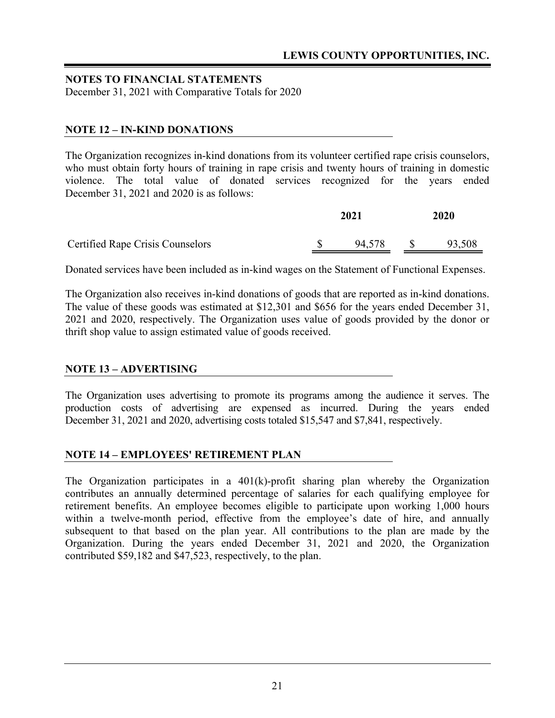December 31, 2021 with Comparative Totals for 2020

### **NOTE 12 – IN-KIND DONATIONS**

The Organization recognizes in-kind donations from its volunteer certified rape crisis counselors, who must obtain forty hours of training in rape crisis and twenty hours of training in domestic violence. The total value of donated services recognized for the years ended December 31, 2021 and 2020 is as follows:

|                                  | 2021 |  | 2020             |  |  |
|----------------------------------|------|--|------------------|--|--|
| Certified Rape Crisis Counselors |      |  | 94,578 \$ 93,508 |  |  |

Donated services have been included as in-kind wages on the Statement of Functional Expenses.

The Organization also receives in-kind donations of goods that are reported as in-kind donations. The value of these goods was estimated at \$12,301 and \$656 for the years ended December 31, 2021 and 2020, respectively. The Organization uses value of goods provided by the donor or thrift shop value to assign estimated value of goods received.

#### **NOTE 13 – ADVERTISING**

The Organization uses advertising to promote its programs among the audience it serves. The production costs of advertising are expensed as incurred. During the years ended December 31, 2021 and 2020, advertising costs totaled \$15,547 and \$7,841, respectively.

#### **NOTE 14 – EMPLOYEES' RETIREMENT PLAN**

The Organization participates in a  $401(k)$ -profit sharing plan whereby the Organization contributes an annually determined percentage of salaries for each qualifying employee for retirement benefits. An employee becomes eligible to participate upon working 1,000 hours within a twelve-month period, effective from the employee's date of hire, and annually subsequent to that based on the plan year. All contributions to the plan are made by the Organization. During the years ended December 31, 2021 and 2020, the Organization contributed \$59,182 and \$47,523, respectively, to the plan.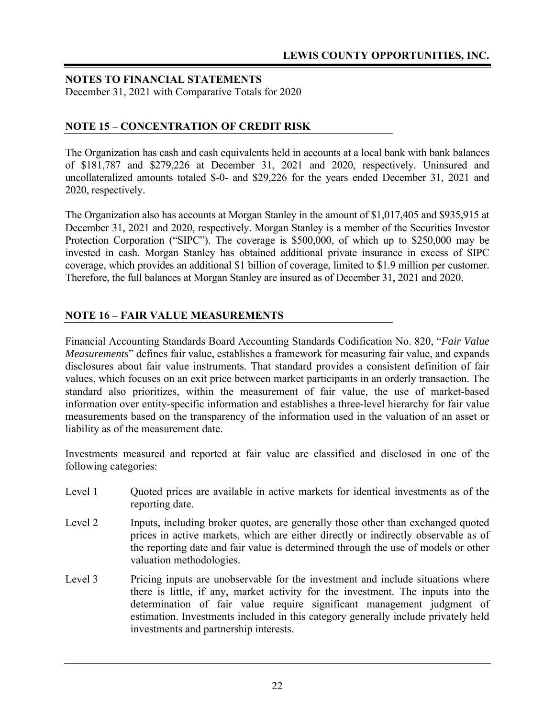December 31, 2021 with Comparative Totals for 2020

### **NOTE 15 – CONCENTRATION OF CREDIT RISK**

The Organization has cash and cash equivalents held in accounts at a local bank with bank balances of \$181,787 and \$279,226 at December 31, 2021 and 2020, respectively. Uninsured and uncollateralized amounts totaled \$-0- and \$29,226 for the years ended December 31, 2021 and 2020, respectively.

The Organization also has accounts at Morgan Stanley in the amount of \$1,017,405 and \$935,915 at December 31, 2021 and 2020, respectively. Morgan Stanley is a member of the Securities Investor Protection Corporation ("SIPC"). The coverage is \$500,000, of which up to \$250,000 may be invested in cash. Morgan Stanley has obtained additional private insurance in excess of SIPC coverage, which provides an additional \$1 billion of coverage, limited to \$1.9 million per customer. Therefore, the full balances at Morgan Stanley are insured as of December 31, 2021 and 2020.

### **NOTE 16 – FAIR VALUE MEASUREMENTS**

Financial Accounting Standards Board Accounting Standards Codification No. 820, "*Fair Value Measurements*" defines fair value, establishes a framework for measuring fair value, and expands disclosures about fair value instruments. That standard provides a consistent definition of fair values, which focuses on an exit price between market participants in an orderly transaction. The standard also prioritizes, within the measurement of fair value, the use of market-based information over entity-specific information and establishes a three-level hierarchy for fair value measurements based on the transparency of the information used in the valuation of an asset or liability as of the measurement date.

Investments measured and reported at fair value are classified and disclosed in one of the following categories:

- Level 1 Cuoted prices are available in active markets for identical investments as of the reporting date.
- Level 2 Inputs, including broker quotes, are generally those other than exchanged quoted prices in active markets, which are either directly or indirectly observable as of the reporting date and fair value is determined through the use of models or other valuation methodologies.
- Level 3 Pricing inputs are unobservable for the investment and include situations where there is little, if any, market activity for the investment. The inputs into the determination of fair value require significant management judgment of estimation. Investments included in this category generally include privately held investments and partnership interests.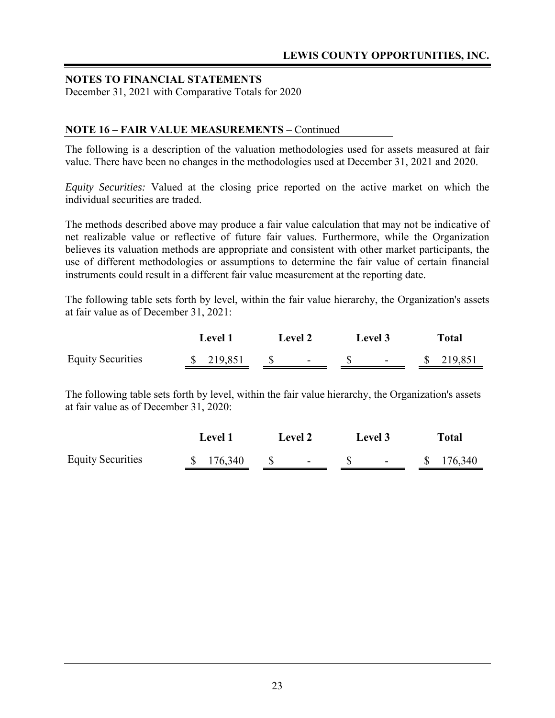December 31, 2021 with Comparative Totals for 2020

### **NOTE 16 – FAIR VALUE MEASUREMENTS** – Continued

The following is a description of the valuation methodologies used for assets measured at fair value. There have been no changes in the methodologies used at December 31, 2021 and 2020.

*Equity Securities:* Valued at the closing price reported on the active market on which the individual securities are traded.

The methods described above may produce a fair value calculation that may not be indicative of net realizable value or reflective of future fair values. Furthermore, while the Organization believes its valuation methods are appropriate and consistent with other market participants, the use of different methodologies or assumptions to determine the fair value of certain financial instruments could result in a different fair value measurement at the reporting date.

The following table sets forth by level, within the fair value hierarchy, the Organization's assets at fair value as of December 31, 2021:

|                          | <b>Level 1</b> | Level 2 | <b>Level 3</b>           | Total     |
|--------------------------|----------------|---------|--------------------------|-----------|
| <b>Equity Securities</b> | \$219,851      | $\sim$  | <b>Contract Contract</b> | \$219,851 |

The following table sets forth by level, within the fair value hierarchy, the Organization's assets at fair value as of December 31, 2020:

|                          | Level 1   | <b>Level 2</b> | Level 3                        | <b>Total</b> |
|--------------------------|-----------|----------------|--------------------------------|--------------|
| <b>Equity Securities</b> | \$176,340 | $\sim 100$     | <b>Contract Contract State</b> | \$176,340    |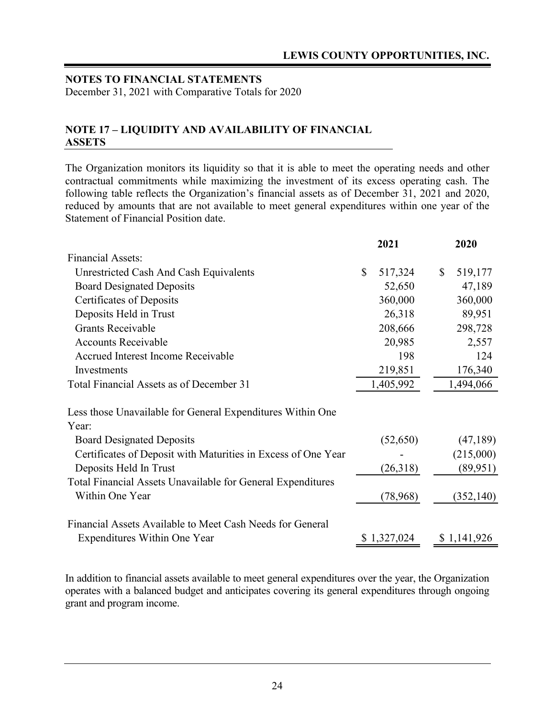December 31, 2021 with Comparative Totals for 2020

### **NOTE 17 – LIQUIDITY AND AVAILABILITY OF FINANCIAL ASSETS**

The Organization monitors its liquidity so that it is able to meet the operating needs and other contractual commitments while maximizing the investment of its excess operating cash. The following table reflects the Organization's financial assets as of December 31, 2021 and 2020, reduced by amounts that are not available to meet general expenditures within one year of the Statement of Financial Position date.

|                                                               |              | 2021        | 2020          |
|---------------------------------------------------------------|--------------|-------------|---------------|
| <b>Financial Assets:</b>                                      |              |             |               |
| Unrestricted Cash And Cash Equivalents                        | $\mathbb{S}$ | 517,324     | \$<br>519,177 |
| <b>Board Designated Deposits</b>                              |              | 52,650      | 47,189        |
| Certificates of Deposits                                      |              | 360,000     | 360,000       |
| Deposits Held in Trust                                        |              | 26,318      | 89,951        |
| <b>Grants Receivable</b>                                      |              | 208,666     | 298,728       |
| <b>Accounts Receivable</b>                                    |              | 20,985      | 2,557         |
| Accrued Interest Income Receivable                            |              | 198         | 124           |
| Investments                                                   |              | 219,851     | 176,340       |
| Total Financial Assets as of December 31                      |              | 1,405,992   | 1,494,066     |
| Less those Unavailable for General Expenditures Within One    |              |             |               |
| Year:                                                         |              |             |               |
| <b>Board Designated Deposits</b>                              |              | (52,650)    | (47,189)      |
| Certificates of Deposit with Maturities in Excess of One Year |              |             | (215,000)     |
| Deposits Held In Trust                                        |              | (26,318)    | (89, 951)     |
| Total Financial Assets Unavailable for General Expenditures   |              |             |               |
| Within One Year                                               |              | (78, 968)   | (352, 140)    |
| Financial Assets Available to Meet Cash Needs for General     |              |             |               |
| Expenditures Within One Year                                  |              | \$1,327,024 | \$1,141,926   |

In addition to financial assets available to meet general expenditures over the year, the Organization operates with a balanced budget and anticipates covering its general expenditures through ongoing grant and program income.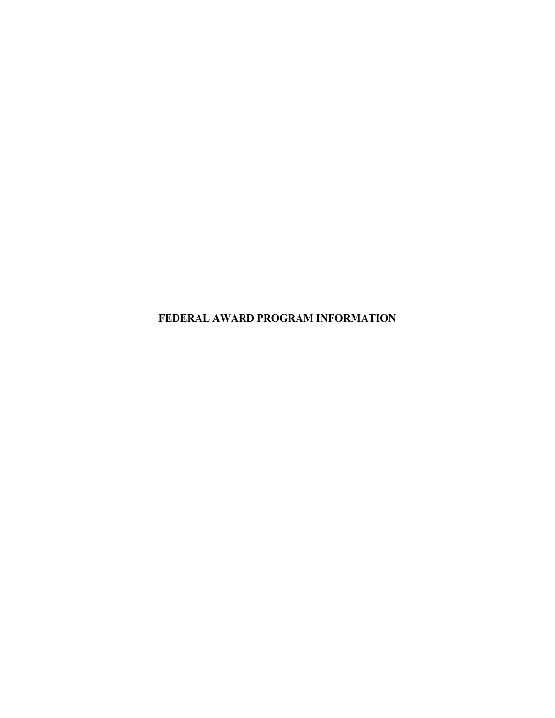**FEDERAL AWARD PROGRAM INFORMATION**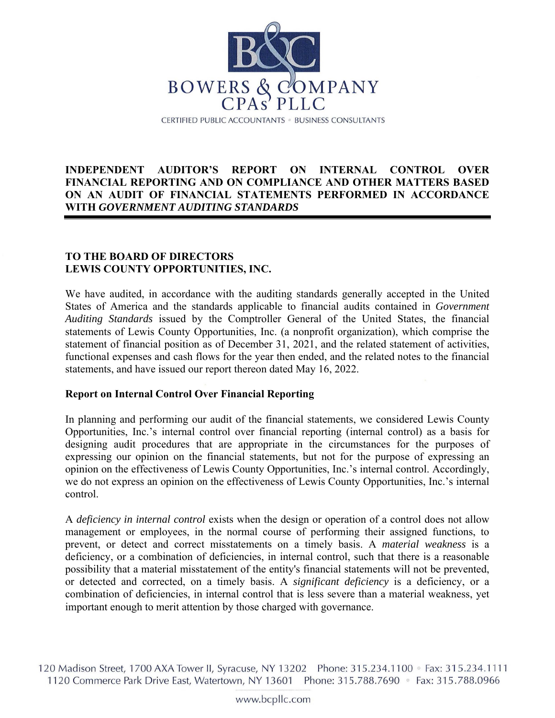

#### **INDEPENDENT AUDITOR'S REPORT ON INTERNAL CONTROL OVER FINANCIAL REPORTING AND ON COMPLIANCE AND OTHER MATTERS BASED ON AN AUDIT OF FINANCIAL STATEMENTS PERFORMED IN ACCORDANCE WITH** *GOVERNMENT AUDITING STANDARDS*

#### **TO THE BOARD OF DIRECTORS LEWIS COUNTY OPPORTUNITIES, INC.**

We have audited, in accordance with the auditing standards generally accepted in the United States of America and the standards applicable to financial audits contained in *Government Auditing Standards* issued by the Comptroller General of the United States, the financial statements of Lewis County Opportunities, Inc. (a nonprofit organization), which comprise the statement of financial position as of December 31, 2021, and the related statement of activities, functional expenses and cash flows for the year then ended, and the related notes to the financial statements, and have issued our report thereon dated May 16, 2022.

#### **Report on Internal Control Over Financial Reporting**

In planning and performing our audit of the financial statements, we considered Lewis County Opportunities, Inc.'s internal control over financial reporting (internal control) as a basis for designing audit procedures that are appropriate in the circumstances for the purposes of expressing our opinion on the financial statements, but not for the purpose of expressing an opinion on the effectiveness of Lewis County Opportunities, Inc.'s internal control. Accordingly, we do not express an opinion on the effectiveness of Lewis County Opportunities, Inc.'s internal control.

A *deficiency in internal control* exists when the design or operation of a control does not allow management or employees, in the normal course of performing their assigned functions, to prevent, or detect and correct misstatements on a timely basis. A *material weakness* is a deficiency, or a combination of deficiencies, in internal control, such that there is a reasonable possibility that a material misstatement of the entity's financial statements will not be prevented, or detected and corrected, on a timely basis. A *significant deficiency* is a deficiency, or a combination of deficiencies, in internal control that is less severe than a material weakness, yet important enough to merit attention by those charged with governance.

120 Madison Street, 1700 AXA Tower II, Syracuse, NY 13202 Phone: 315.234.1100 • Fax: 315.234.1111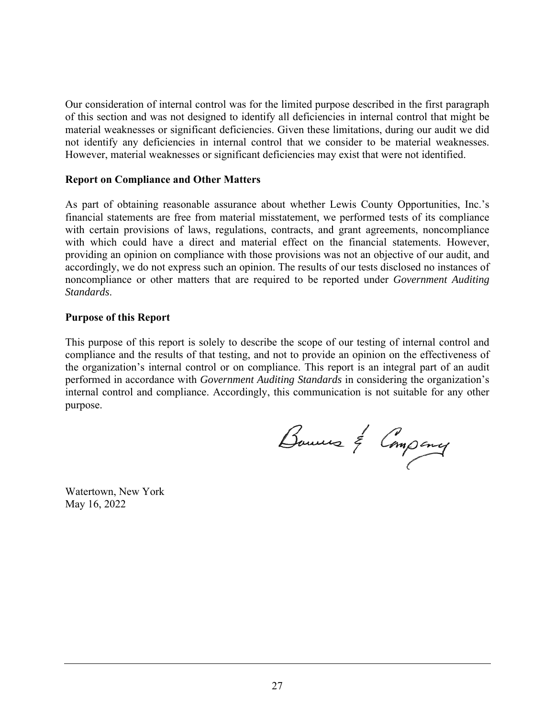Our consideration of internal control was for the limited purpose described in the first paragraph of this section and was not designed to identify all deficiencies in internal control that might be material weaknesses or significant deficiencies. Given these limitations, during our audit we did not identify any deficiencies in internal control that we consider to be material weaknesses. However, material weaknesses or significant deficiencies may exist that were not identified.

#### **Report on Compliance and Other Matters**

As part of obtaining reasonable assurance about whether Lewis County Opportunities, Inc.'s financial statements are free from material misstatement, we performed tests of its compliance with certain provisions of laws, regulations, contracts, and grant agreements, noncompliance with which could have a direct and material effect on the financial statements. However, providing an opinion on compliance with those provisions was not an objective of our audit, and accordingly, we do not express such an opinion. The results of our tests disclosed no instances of noncompliance or other matters that are required to be reported under *Government Auditing Standards*.

#### **Purpose of this Report**

This purpose of this report is solely to describe the scope of our testing of internal control and compliance and the results of that testing, and not to provide an opinion on the effectiveness of the organization's internal control or on compliance. This report is an integral part of an audit performed in accordance with *Government Auditing Standards* in considering the organization's internal control and compliance. Accordingly, this communication is not suitable for any other purpose.

Bouwers & Company

Watertown, New York May 16, 2022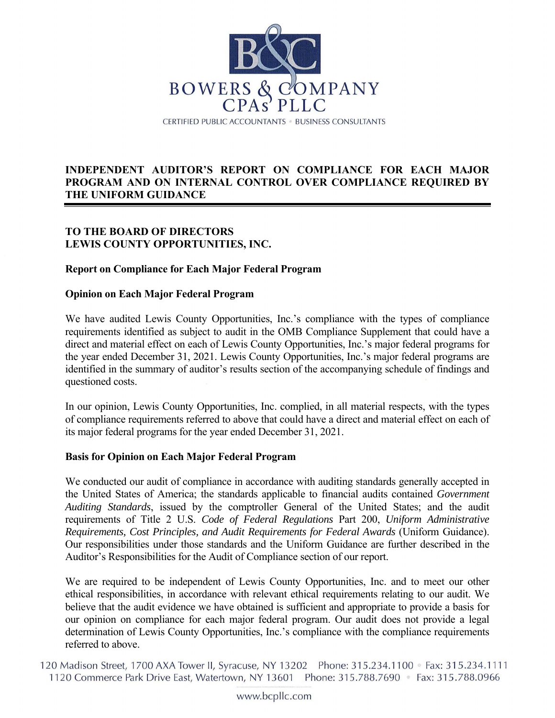

### **INDEPENDENT AUDITOR'S REPORT ON COMPLIANCE FOR EACH MAJOR PROGRAM AND ON INTERNAL CONTROL OVER COMPLIANCE REQUIRED BY THE UNIFORM GUIDANCE**

### **TO THE BOARD OF DIRECTORS LEWIS COUNTY OPPORTUNITIES, INC.**

#### **Report on Compliance for Each Major Federal Program**

#### **Opinion on Each Major Federal Program**

We have audited Lewis County Opportunities, Inc.'s compliance with the types of compliance requirements identified as subject to audit in the OMB Compliance Supplement that could have a direct and material effect on each of Lewis County Opportunities, Inc.'s major federal programs for the year ended December 31, 2021. Lewis County Opportunities, Inc.'s major federal programs are identified in the summary of auditor's results section of the accompanying schedule of findings and questioned costs.

In our opinion, Lewis County Opportunities, Inc. complied, in all material respects, with the types of compliance requirements referred to above that could have a direct and material effect on each of its major federal programs for the year ended December 31, 2021.

#### **Basis for Opinion on Each Major Federal Program**

We conducted our audit of compliance in accordance with auditing standards generally accepted in the United States of America; the standards applicable to financial audits contained *Government Auditing Standards*, issued by the comptroller General of the United States; and the audit requirements of Title 2 U.S. *Code of Federal Regulations* Part 200, *Uniform Administrative Requirements, Cost Principles, and Audit Requirements for Federal Awards* (Uniform Guidance). Our responsibilities under those standards and the Uniform Guidance are further described in the Auditor's Responsibilities for the Audit of Compliance section of our report.

We are required to be independent of Lewis County Opportunities, Inc. and to meet our other ethical responsibilities, in accordance with relevant ethical requirements relating to our audit. We believe that the audit evidence we have obtained is sufficient and appropriate to provide a basis for our opinion on compliance for each major federal program. Our audit does not provide a legal determination of Lewis County Opportunities, Inc.'s compliance with the compliance requirements referred to above.

120 Madison Street, 1700 AXA Tower II, Syracuse, NY 13202 Phone: 315.234.1100 • Fax: 315.234.1111 1120 Commerce Park Drive East, Watertown, NY 13601 Phone: 315.788.7690 • Fax: 315.788.0966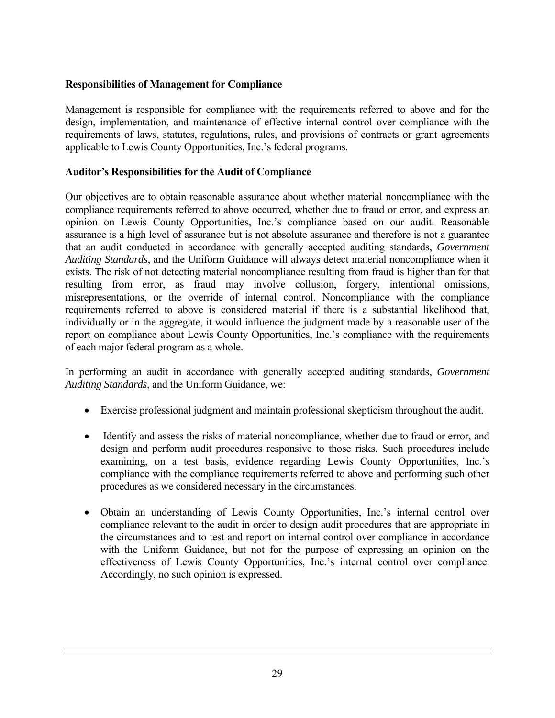#### **Responsibilities of Management for Compliance**

Management is responsible for compliance with the requirements referred to above and for the design, implementation, and maintenance of effective internal control over compliance with the requirements of laws, statutes, regulations, rules, and provisions of contracts or grant agreements applicable to Lewis County Opportunities, Inc.'s federal programs.

#### **Auditor's Responsibilities for the Audit of Compliance**

Our objectives are to obtain reasonable assurance about whether material noncompliance with the compliance requirements referred to above occurred, whether due to fraud or error, and express an opinion on Lewis County Opportunities, Inc.'s compliance based on our audit. Reasonable assurance is a high level of assurance but is not absolute assurance and therefore is not a guarantee that an audit conducted in accordance with generally accepted auditing standards, *Government Auditing Standards*, and the Uniform Guidance will always detect material noncompliance when it exists. The risk of not detecting material noncompliance resulting from fraud is higher than for that resulting from error, as fraud may involve collusion, forgery, intentional omissions, misrepresentations, or the override of internal control. Noncompliance with the compliance requirements referred to above is considered material if there is a substantial likelihood that, individually or in the aggregate, it would influence the judgment made by a reasonable user of the report on compliance about Lewis County Opportunities, Inc.'s compliance with the requirements of each major federal program as a whole.

In performing an audit in accordance with generally accepted auditing standards, *Government Auditing Standards*, and the Uniform Guidance, we:

- Exercise professional judgment and maintain professional skepticism throughout the audit.
- Identify and assess the risks of material noncompliance, whether due to fraud or error, and design and perform audit procedures responsive to those risks. Such procedures include examining, on a test basis, evidence regarding Lewis County Opportunities, Inc.'s compliance with the compliance requirements referred to above and performing such other procedures as we considered necessary in the circumstances.
- Obtain an understanding of Lewis County Opportunities, Inc.'s internal control over compliance relevant to the audit in order to design audit procedures that are appropriate in the circumstances and to test and report on internal control over compliance in accordance with the Uniform Guidance, but not for the purpose of expressing an opinion on the effectiveness of Lewis County Opportunities, Inc.'s internal control over compliance. Accordingly, no such opinion is expressed.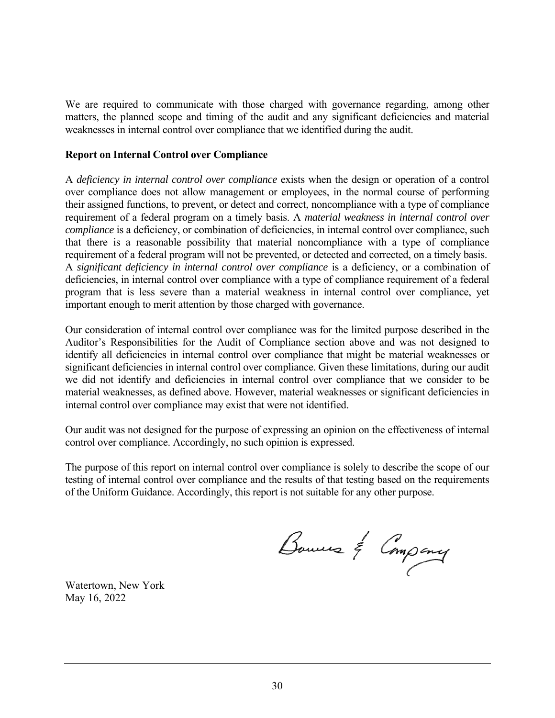We are required to communicate with those charged with governance regarding, among other matters, the planned scope and timing of the audit and any significant deficiencies and material weaknesses in internal control over compliance that we identified during the audit.

#### **Report on Internal Control over Compliance**

A *deficiency in internal control over compliance* exists when the design or operation of a control over compliance does not allow management or employees, in the normal course of performing their assigned functions, to prevent, or detect and correct, noncompliance with a type of compliance requirement of a federal program on a timely basis. A *material weakness in internal control over compliance* is a deficiency, or combination of deficiencies, in internal control over compliance, such that there is a reasonable possibility that material noncompliance with a type of compliance requirement of a federal program will not be prevented, or detected and corrected, on a timely basis. A *significant deficiency in internal control over compliance* is a deficiency, or a combination of deficiencies, in internal control over compliance with a type of compliance requirement of a federal program that is less severe than a material weakness in internal control over compliance, yet important enough to merit attention by those charged with governance.

Our consideration of internal control over compliance was for the limited purpose described in the Auditor's Responsibilities for the Audit of Compliance section above and was not designed to identify all deficiencies in internal control over compliance that might be material weaknesses or significant deficiencies in internal control over compliance. Given these limitations, during our audit we did not identify and deficiencies in internal control over compliance that we consider to be material weaknesses, as defined above. However, material weaknesses or significant deficiencies in internal control over compliance may exist that were not identified.

Our audit was not designed for the purpose of expressing an opinion on the effectiveness of internal control over compliance. Accordingly, no such opinion is expressed.

The purpose of this report on internal control over compliance is solely to describe the scope of our testing of internal control over compliance and the results of that testing based on the requirements of the Uniform Guidance. Accordingly, this report is not suitable for any other purpose.

Bouwers & Company

Watertown, New York May 16, 2022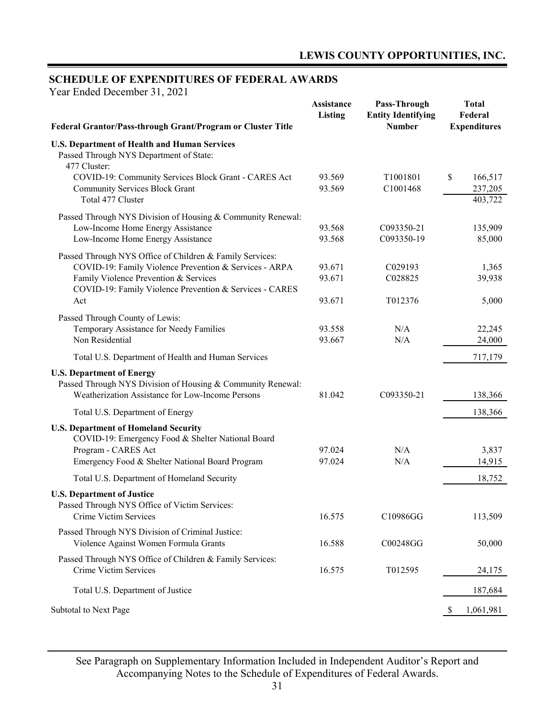## **SCHEDULE OF EXPENDITURES OF FEDERAL AWARDS**

Year Ended December 31, 2021

|                                                                                                                                       | <b>Assistance</b><br>Listing | Pass-Through<br><b>Entity Identifying</b><br><b>Number</b> | <b>Total</b><br>Federal  |
|---------------------------------------------------------------------------------------------------------------------------------------|------------------------------|------------------------------------------------------------|--------------------------|
| Federal Grantor/Pass-through Grant/Program or Cluster Title                                                                           |                              |                                                            | <b>Expenditures</b>      |
| <b>U.S. Department of Health and Human Services</b><br>Passed Through NYS Department of State:<br>477 Cluster:                        |                              |                                                            |                          |
| COVID-19: Community Services Block Grant - CARES Act<br><b>Community Services Block Grant</b>                                         | 93.569<br>93.569             | T1001801<br>C1001468                                       | \$<br>166,517<br>237,205 |
| Total 477 Cluster                                                                                                                     |                              |                                                            | 403,722                  |
| Passed Through NYS Division of Housing & Community Renewal:<br>Low-Income Home Energy Assistance<br>Low-Income Home Energy Assistance | 93.568<br>93.568             | C093350-21<br>C093350-19                                   | 135,909<br>85,000        |
| Passed Through NYS Office of Children & Family Services:                                                                              |                              |                                                            |                          |
| COVID-19: Family Violence Prevention & Services - ARPA                                                                                | 93.671                       | C029193                                                    | 1,365                    |
| Family Violence Prevention & Services<br>COVID-19: Family Violence Prevention & Services - CARES                                      | 93.671                       | C028825                                                    | 39,938                   |
| Act                                                                                                                                   | 93.671                       | T012376                                                    | 5,000                    |
| Passed Through County of Lewis:                                                                                                       |                              |                                                            |                          |
| Temporary Assistance for Needy Families                                                                                               | 93.558                       | N/A                                                        | 22,245                   |
| Non Residential                                                                                                                       | 93.667                       | N/A                                                        | 24,000                   |
| Total U.S. Department of Health and Human Services                                                                                    |                              |                                                            | 717,179                  |
| <b>U.S. Department of Energy</b><br>Passed Through NYS Division of Housing & Community Renewal:                                       |                              |                                                            |                          |
| Weatherization Assistance for Low-Income Persons                                                                                      | 81.042                       | C093350-21                                                 | 138,366                  |
| Total U.S. Department of Energy                                                                                                       |                              |                                                            | 138,366                  |
| <b>U.S. Department of Homeland Security</b><br>COVID-19: Emergency Food & Shelter National Board                                      |                              |                                                            |                          |
| Program - CARES Act                                                                                                                   | 97.024                       | N/A                                                        | 3,837                    |
| Emergency Food & Shelter National Board Program                                                                                       | 97.024                       | N/A                                                        | 14,915                   |
| Total U.S. Department of Homeland Security                                                                                            |                              |                                                            | 18,752                   |
| <b>U.S. Department of Justice</b><br>Passed Through NYS Office of Victim Services:                                                    |                              |                                                            |                          |
| Crime Victim Services                                                                                                                 | 16.575                       | C10986GG                                                   | 113,509                  |
| Passed Through NYS Division of Criminal Justice:<br>Violence Against Women Formula Grants                                             | 16.588                       | C00248GG                                                   | 50,000                   |
| Passed Through NYS Office of Children & Family Services:<br>Crime Victim Services                                                     | 16.575                       | T012595                                                    | 24,175                   |
| Total U.S. Department of Justice                                                                                                      |                              |                                                            | 187,684                  |
| Subtotal to Next Page                                                                                                                 |                              |                                                            | 1,061,981<br>P           |

See Paragraph on Supplementary Information Included in Independent Auditor's Report and Accompanying Notes to the Schedule of Expenditures of Federal Awards.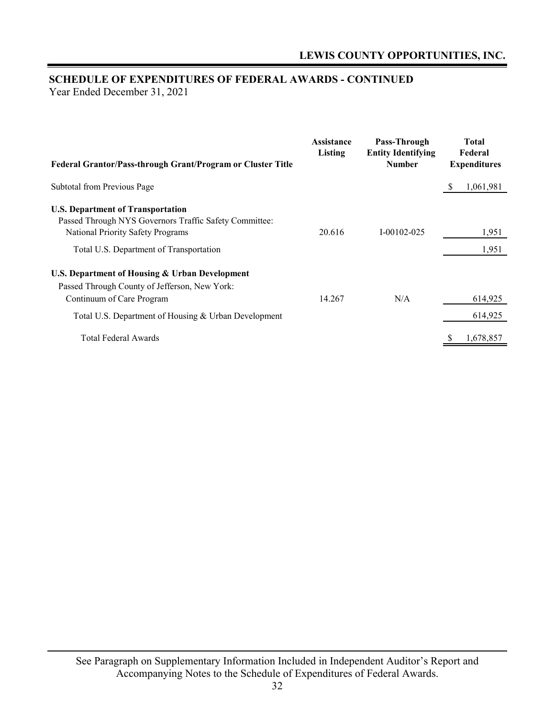# **SCHEDULE OF EXPENDITURES OF FEDERAL AWARDS - CONTINUED**

Year Ended December 31, 2021

| Federal Grantor/Pass-through Grant/Program or Cluster Title                                                                                    | <b>Assistance</b><br>Listing | Pass-Through<br><b>Entity Identifying</b><br><b>Number</b> | <b>Total</b><br>Federal<br><b>Expenditures</b> |
|------------------------------------------------------------------------------------------------------------------------------------------------|------------------------------|------------------------------------------------------------|------------------------------------------------|
| Subtotal from Previous Page                                                                                                                    |                              |                                                            | 1,061,981                                      |
| <b>U.S. Department of Transportation</b><br>Passed Through NYS Governors Traffic Safety Committee:<br><b>National Priority Safety Programs</b> | 20.616                       | $I - 00102 - 025$                                          | 1,951                                          |
| Total U.S. Department of Transportation                                                                                                        |                              |                                                            | 1,951                                          |
| U.S. Department of Housing & Urban Development<br>Passed Through County of Jefferson, New York:<br>Continuum of Care Program                   | 14.267                       | N/A                                                        | 614,925                                        |
| Total U.S. Department of Housing & Urban Development                                                                                           |                              |                                                            | 614,925                                        |
| Total Federal Awards                                                                                                                           |                              |                                                            | 1,678,857                                      |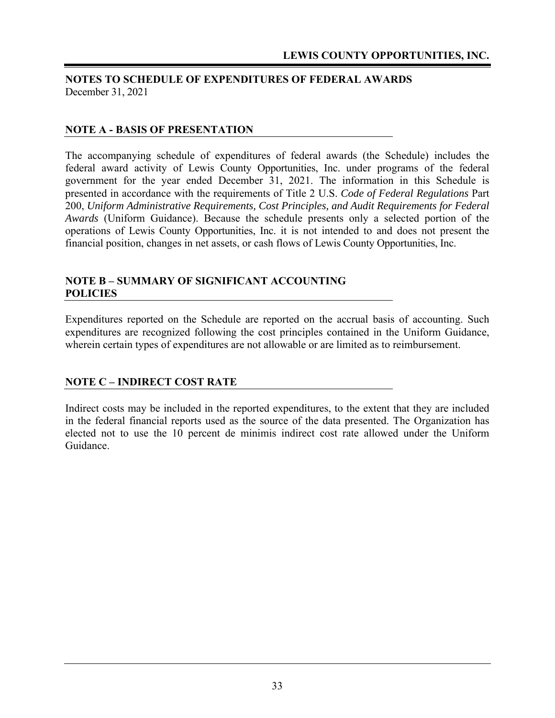### **NOTES TO SCHEDULE OF EXPENDITURES OF FEDERAL AWARDS**  December 31, 2021

### **NOTE A - BASIS OF PRESENTATION**

The accompanying schedule of expenditures of federal awards (the Schedule) includes the federal award activity of Lewis County Opportunities, Inc. under programs of the federal government for the year ended December 31, 2021. The information in this Schedule is presented in accordance with the requirements of Title 2 U.S. *Code of Federal Regulations* Part 200, *Uniform Administrative Requirements, Cost Principles, and Audit Requirements for Federal Awards* (Uniform Guidance). Because the schedule presents only a selected portion of the operations of Lewis County Opportunities, Inc. it is not intended to and does not present the financial position, changes in net assets, or cash flows of Lewis County Opportunities, Inc.

#### **NOTE B – SUMMARY OF SIGNIFICANT ACCOUNTING POLICIES**

Expenditures reported on the Schedule are reported on the accrual basis of accounting. Such expenditures are recognized following the cost principles contained in the Uniform Guidance, wherein certain types of expenditures are not allowable or are limited as to reimbursement.

### **NOTE C – INDIRECT COST RATE**

Indirect costs may be included in the reported expenditures, to the extent that they are included in the federal financial reports used as the source of the data presented. The Organization has elected not to use the 10 percent de minimis indirect cost rate allowed under the Uniform Guidance.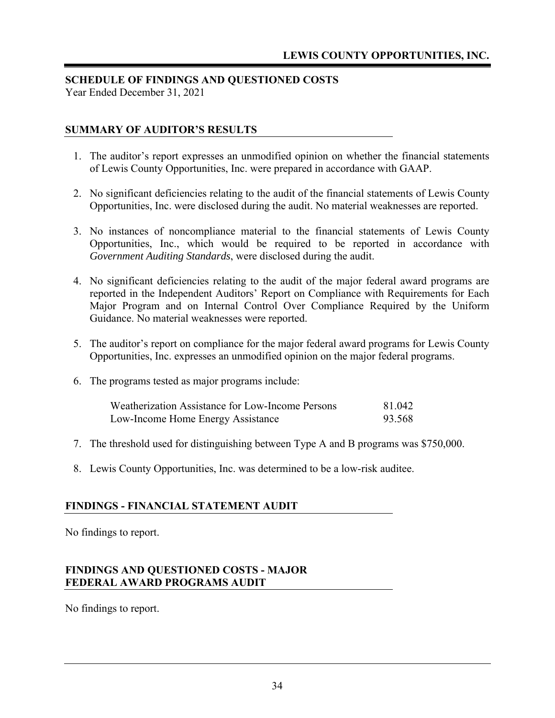### **SCHEDULE OF FINDINGS AND QUESTIONED COSTS**

Year Ended December 31, 2021

### **SUMMARY OF AUDITOR'S RESULTS**

- 1. The auditor's report expresses an unmodified opinion on whether the financial statements of Lewis County Opportunities, Inc. were prepared in accordance with GAAP.
- 2. No significant deficiencies relating to the audit of the financial statements of Lewis County Opportunities, Inc. were disclosed during the audit. No material weaknesses are reported.
- 3. No instances of noncompliance material to the financial statements of Lewis County Opportunities, Inc., which would be required to be reported in accordance with *Government Auditing Standards*, were disclosed during the audit.
- 4. No significant deficiencies relating to the audit of the major federal award programs are reported in the Independent Auditors' Report on Compliance with Requirements for Each Major Program and on Internal Control Over Compliance Required by the Uniform Guidance. No material weaknesses were reported.
- 5. The auditor's report on compliance for the major federal award programs for Lewis County Opportunities, Inc. expresses an unmodified opinion on the major federal programs.
- 6. The programs tested as major programs include:

| <b>Weatherization Assistance for Low-Income Persons</b> | 81.042 |
|---------------------------------------------------------|--------|
| Low-Income Home Energy Assistance                       | 93.568 |

- 7. The threshold used for distinguishing between Type A and B programs was \$750,000.
- 8. Lewis County Opportunities, Inc. was determined to be a low-risk auditee.

#### **FINDINGS - FINANCIAL STATEMENT AUDIT**

No findings to report.

### **FINDINGS AND QUESTIONED COSTS - MAJOR FEDERAL AWARD PROGRAMS AUDIT**

No findings to report.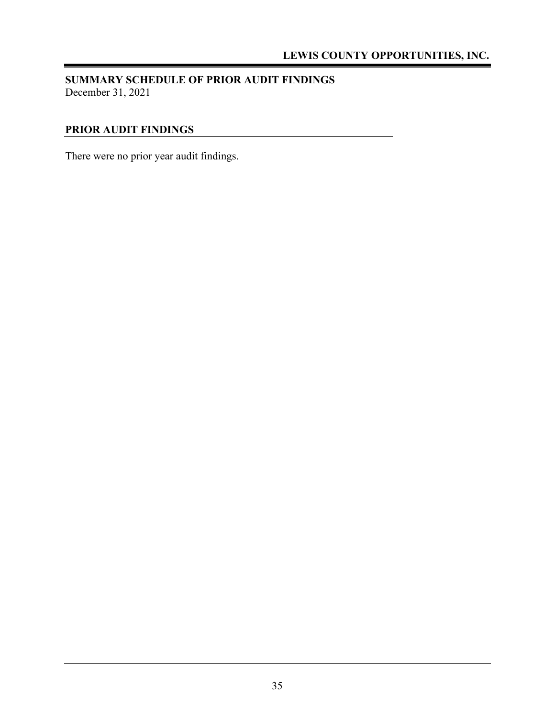### **SUMMARY SCHEDULE OF PRIOR AUDIT FINDINGS**  December 31, 2021

### **PRIOR AUDIT FINDINGS**

There were no prior year audit findings.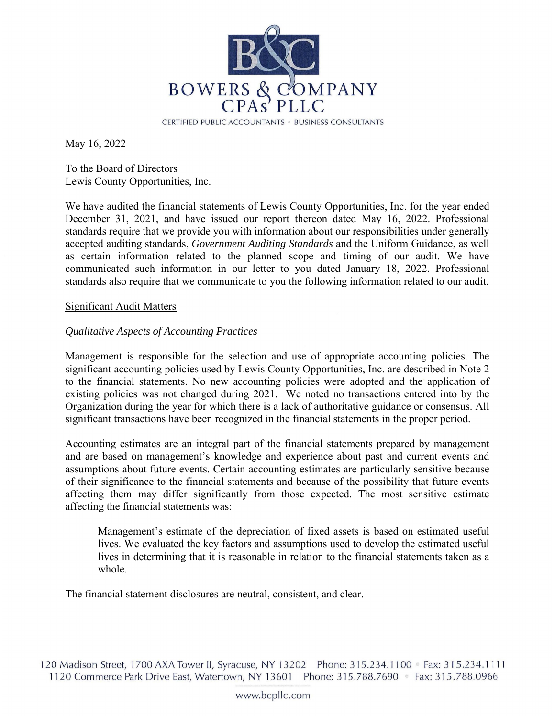

May 16, 2022

To the Board of Directors Lewis County Opportunities, Inc.

We have audited the financial statements of Lewis County Opportunities, Inc. for the year ended December 31, 2021, and have issued our report thereon dated May 16, 2022. Professional standards require that we provide you with information about our responsibilities under generally accepted auditing standards, *Government Auditing Standards* and the Uniform Guidance, as well as certain information related to the planned scope and timing of our audit. We have communicated such information in our letter to you dated January 18, 2022. Professional standards also require that we communicate to you the following information related to our audit.

#### Significant Audit Matters

### *Qualitative Aspects of Accounting Practices*

Management is responsible for the selection and use of appropriate accounting policies. The significant accounting policies used by Lewis County Opportunities, Inc. are described in Note 2 to the financial statements. No new accounting policies were adopted and the application of existing policies was not changed during 2021. We noted no transactions entered into by the Organization during the year for which there is a lack of authoritative guidance or consensus. All significant transactions have been recognized in the financial statements in the proper period.

Accounting estimates are an integral part of the financial statements prepared by management and are based on management's knowledge and experience about past and current events and assumptions about future events. Certain accounting estimates are particularly sensitive because of their significance to the financial statements and because of the possibility that future events affecting them may differ significantly from those expected. The most sensitive estimate affecting the financial statements was:

Management's estimate of the depreciation of fixed assets is based on estimated useful lives. We evaluated the key factors and assumptions used to develop the estimated useful lives in determining that it is reasonable in relation to the financial statements taken as a whole.

The financial statement disclosures are neutral, consistent, and clear.

120 Madison Street, 1700 AXA Tower II, Syracuse, NY 13202 Phone: 315.234.1100 • Fax: 315.234.1111 1120 Commerce Park Drive East, Watertown, NY 13601 Phone: 315.788.7690 • Fax: 315.788.0966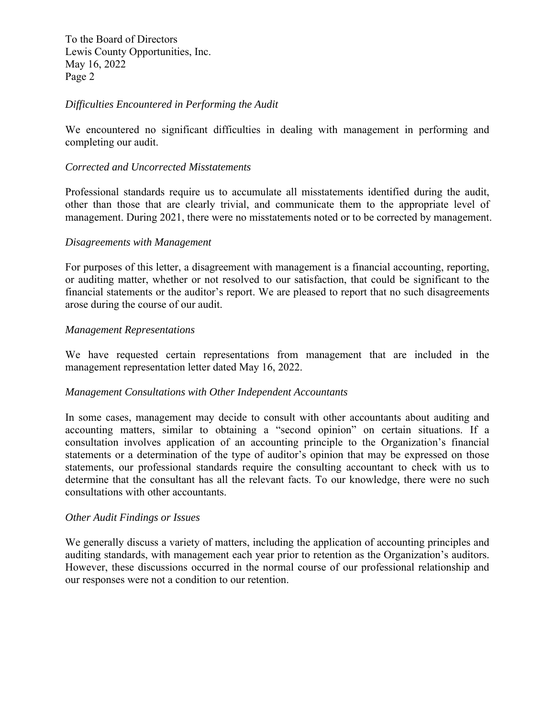To the Board of Directors Lewis County Opportunities, Inc. May 16, 2022 Page 2

#### *Difficulties Encountered in Performing the Audit*

We encountered no significant difficulties in dealing with management in performing and completing our audit.

#### *Corrected and Uncorrected Misstatements*

Professional standards require us to accumulate all misstatements identified during the audit, other than those that are clearly trivial, and communicate them to the appropriate level of management. During 2021, there were no misstatements noted or to be corrected by management.

#### *Disagreements with Management*

For purposes of this letter, a disagreement with management is a financial accounting, reporting, or auditing matter, whether or not resolved to our satisfaction, that could be significant to the financial statements or the auditor's report. We are pleased to report that no such disagreements arose during the course of our audit.

#### *Management Representations*

We have requested certain representations from management that are included in the management representation letter dated May 16, 2022.

#### *Management Consultations with Other Independent Accountants*

In some cases, management may decide to consult with other accountants about auditing and accounting matters, similar to obtaining a "second opinion" on certain situations. If a consultation involves application of an accounting principle to the Organization's financial statements or a determination of the type of auditor's opinion that may be expressed on those statements, our professional standards require the consulting accountant to check with us to determine that the consultant has all the relevant facts. To our knowledge, there were no such consultations with other accountants.

#### *Other Audit Findings or Issues*

We generally discuss a variety of matters, including the application of accounting principles and auditing standards, with management each year prior to retention as the Organization's auditors. However, these discussions occurred in the normal course of our professional relationship and our responses were not a condition to our retention.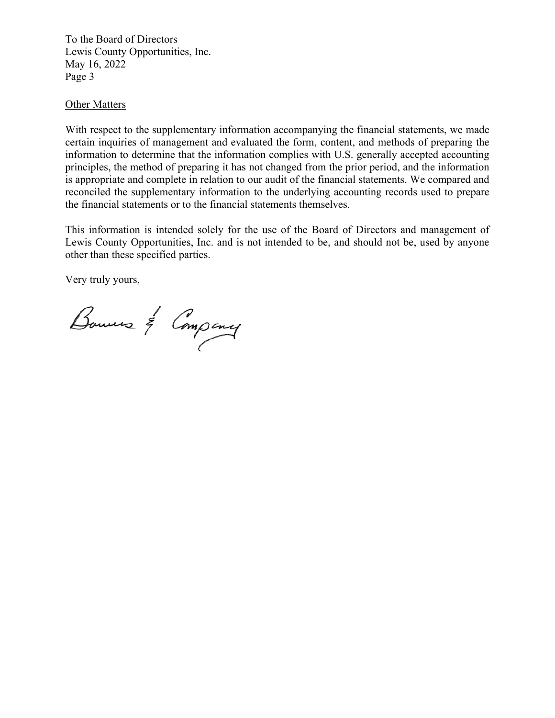To the Board of Directors Lewis County Opportunities, Inc. May 16, 2022 Page 3

#### **Other Matters**

With respect to the supplementary information accompanying the financial statements, we made certain inquiries of management and evaluated the form, content, and methods of preparing the information to determine that the information complies with U.S. generally accepted accounting principles, the method of preparing it has not changed from the prior period, and the information is appropriate and complete in relation to our audit of the financial statements. We compared and reconciled the supplementary information to the underlying accounting records used to prepare the financial statements or to the financial statements themselves.

This information is intended solely for the use of the Board of Directors and management of Lewis County Opportunities, Inc. and is not intended to be, and should not be, used by anyone other than these specified parties.

Very truly yours,

Bouwers & Company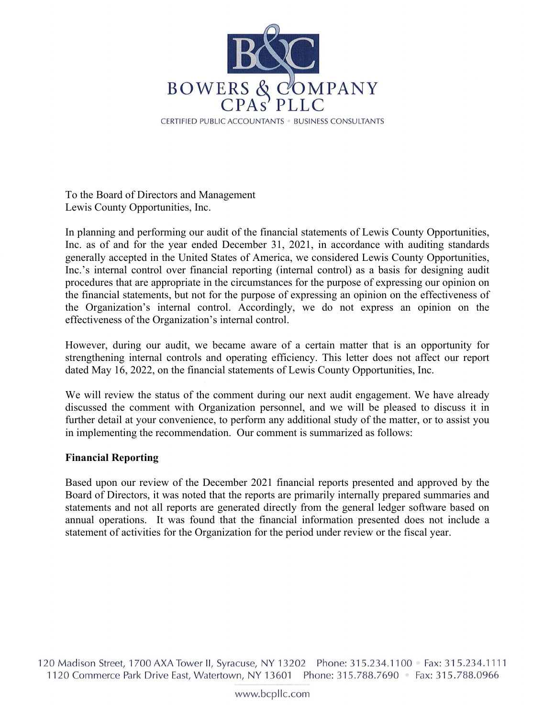

To the Board of Directors and Management Lewis County Opportunities, Inc.

In planning and performing our audit of the financial statements of Lewis County Opportunities, Inc. as of and for the year ended December 31, 2021, in accordance with auditing standards generally accepted in the United States of America, we considered Lewis County Opportunities, Inc.'s internal control over financial reporting (internal control) as a basis for designing audit procedures that are appropriate in the circumstances for the purpose of expressing our opinion on the financial statements, but not for the purpose of expressing an opinion on the effectiveness of the Organization's internal control. Accordingly, we do not express an opinion on the effectiveness of the Organization's internal control.

However, during our audit, we became aware of a certain matter that is an opportunity for strengthening internal controls and operating efficiency. This letter does not affect our report dated May 16, 2022, on the financial statements of Lewis County Opportunities, Inc.

We will review the status of the comment during our next audit engagement. We have already discussed the comment with Organization personnel, and we will be pleased to discuss it in further detail at your convenience, to perform any additional study of the matter, or to assist you in implementing the recommendation. Our comment is summarized as follows:

#### **Financial Reporting**

Based upon our review of the December 2021 financial reports presented and approved by the Board of Directors, it was noted that the reports are primarily internally prepared summaries and statements and not all reports are generated directly from the general ledger software based on annual operations. It was found that the financial information presented does not include a statement of activities for the Organization for the period under review or the fiscal year.

120 Madison Street, 1700 AXA Tower II, Syracuse, NY 13202 Phone: 315.234.1100 • Fax: 315.234.1111